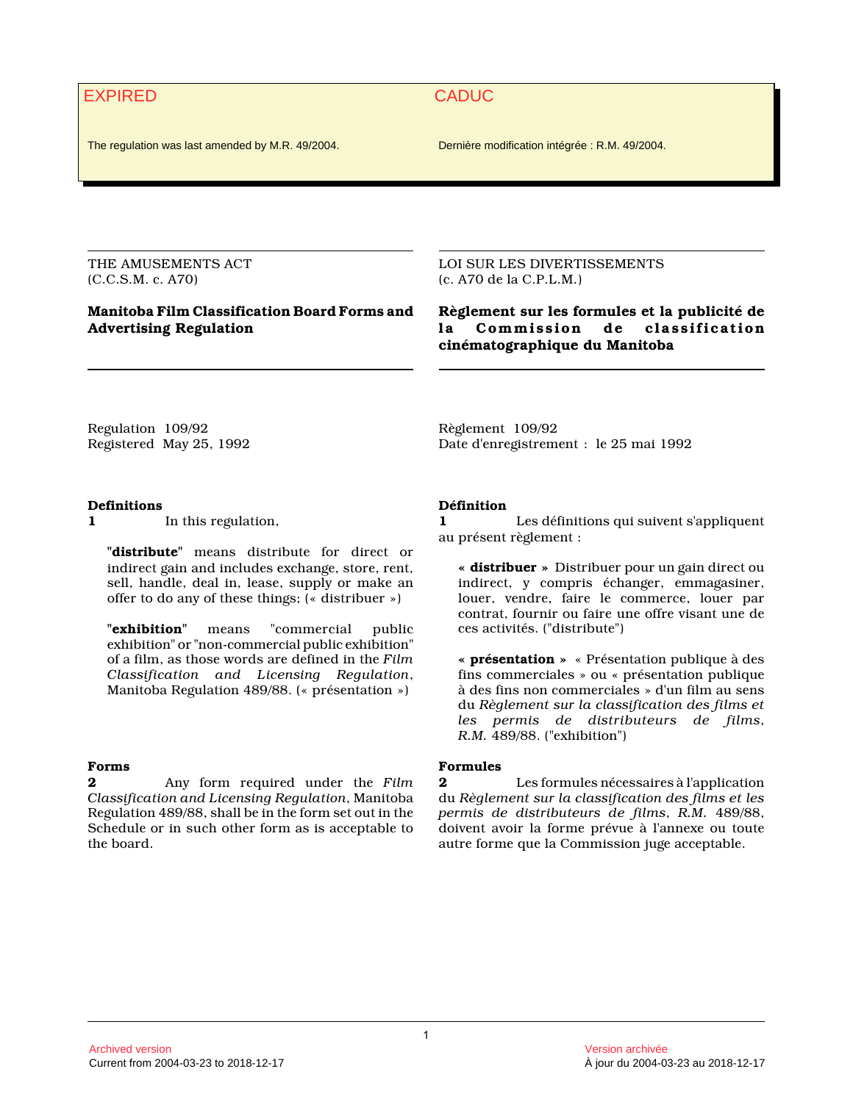# EXPIRED CADUC

The regulation was last amended by M.R. 49/2004. Dernière modification intégrée : R.M. 49/2004.

THE AMUSEMENTS ACT (C.C.S.M. c. A70)

#### **Manitoba Film Classification Board Forms and Advertising Regulation**

LOI SUR LES DIVERTISSEMENTS (c. A70 de la C.P.L.M.)

**Règlement sur les formules et la publicité de la Commission de classification cinématographique du Manitoba** 

Regulation 109/92 Registered May 25, 1992 Règlement 109/92 Date d'enregistrement : le 25 mai 1992

#### **Definitions**

**1** In this regulation,

**"distribute"** means distribute for direct or indirect gain and includes exchange, store, rent, sell, handle, deal in, lease, supply or make an offer to do any of these things; (« distribuer »)

**"exhibition"** means "commercial public exhibition" or "non-commercial public exhibition" of a film, as those words are defined in the *Film Classification and Licensing Regulation*, Manitoba Regulation 489/88. (« présentation »)

#### **Forms**

**2** Any form required under the *Film Classification and Licensing Regulation*, Manitoba Regulation 489/88, shall be in the form set out in the Schedule or in such other form as is acceptable to the board.

**Définition**

**1** Les définitions qui suivent s'appliquent au présent règlement :

**« distribuer »** Distribuer pour un gain direct ou indirect, y compris échanger, emmagasiner, louer, vendre, faire le commerce, louer par contrat, fournir ou faire une offre visant une de ces activités. ("distribute")

**« présentation »** « Présentation publique à des fins commerciales » ou « présentation publique à des fins non commerciales » d'un film au sens du *Règlement sur la classification des films et les permis de distributeurs de films*, *R.M.* 489/88. ("exhibition")

#### **Formules**

**2** Les formules nécessaires à l'application du *Règlement sur la classification des films et les permis de distributeurs de films*, *R.M.* 489/88, doivent avoir la forme prévue à l'annexe ou toute autre forme que la Commission juge acceptable.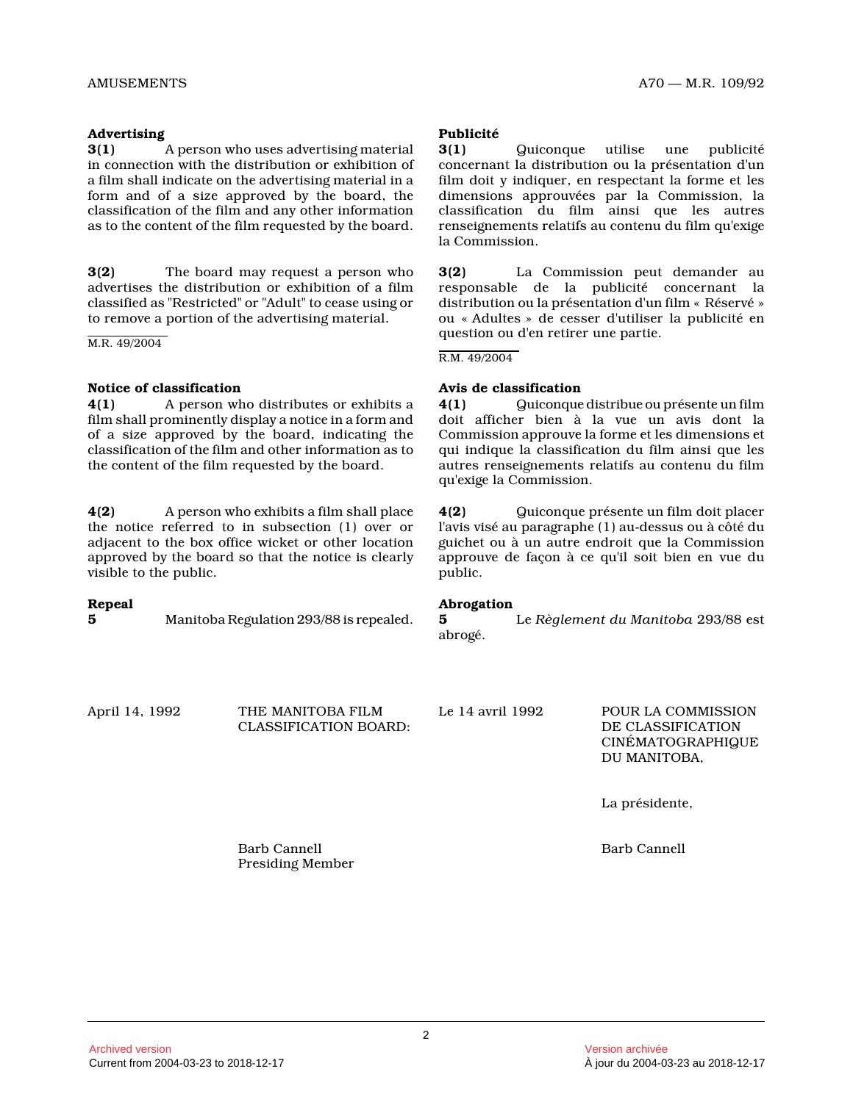#### **Advertising**

**3(1)** A person who uses advertising material in connection with the distribution or exhibition o f a film shall indicate on the advertising material in a form and of a size approved by the board, the classification of the film and any other informatio n as to the content of the film requested by the board.

**3(2)** The board may request a person who advertises the distribution or exhibition of a film classified as "Restricted" or "Adult" to cease using or to remove a portion of the advertising material.

M.R. 49/2004

#### **Notice of classification**

**4(1)** A person who distributes or exhibits a film shall prominently display a notice in a form and of a size approved by the board, indicating the classification of the film and other information as to the content of the film requested by the board.

**4(2)** A person who exhibits a film shall place the notice referred to in subsection (1) over or adjacent to the box office wicket or other location approved by the board so that the notice is clearly visible to the public.

# **Repeal**

**5** Manitoba Regulation 293/88 is repealed.

#### **Publicité**

**3(1)** Quiconque utilise une publicité concernant la distribution ou la présentation d'un film doit y indiquer, en respectant la forme et les dimensions approuvées par la Commission, la classification du film ainsi que les autres renseignements relatifs au contenu du film qu'exige la Commission.

**3(2)** La Commission peut demander au responsable de la publicité concernant la distribution ou la présentation d'un film « Réservé » ou « Adultes » de cesser d'utiliser la publicité en question ou d'en retirer une partie.

#### R.M. 49/2004

#### **Avis de classification**

**4(1)** Quiconque distribue ou présente un film doit afficher bien à la vue un avis dont la Commission approuve la forme et les dimensions et qui indique la classification du film ainsi que les autres renseignements relatifs au contenu du film qu'exige la Commission.

**4(2)** Quiconque présente un film doit placer l'avis visé au paragraphe (1) au-dessus ou à côté d u guichet ou à un autre endroit que la Commission approuve de façon à ce qu'il soit bien en vue du public.

#### **Abrogation**

**5** Le *Règlement du Manitoba* 293/88 est abrogé.

April 14, 1992 THE MANITOBA FILM CLASSIFICATION BOARD: Le 14 avril 1992 POUR LA COMMISSION DE CLASSIFICATION

CINÉMATOGRAPHIQUE DU MANITOBA,

La présidente,

Barb Cannell

Barb Cannell Presiding Member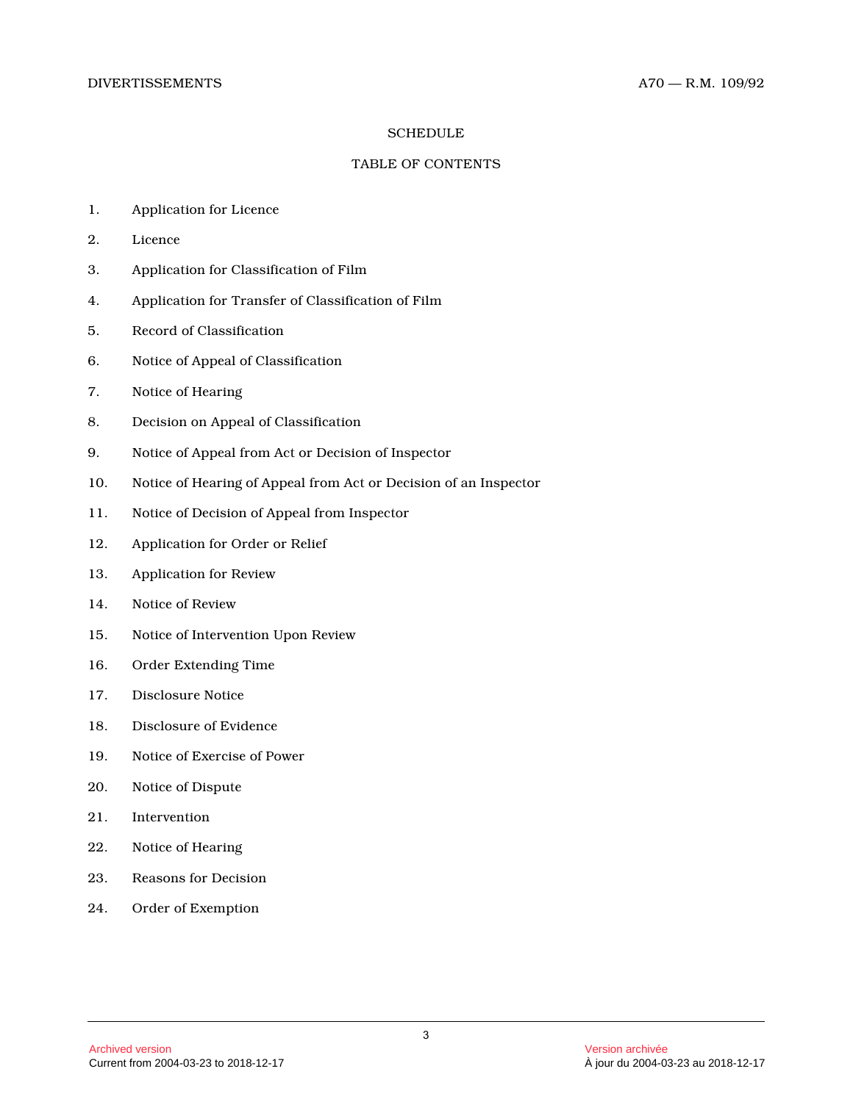#### **SCHEDULE**

#### TABLE OF CONTENTS

- 1. Application for Licence
- 2. Licence
- 3. Application for Classification of Film
- 4. Application for Transfer of Classification of Fil m
- 5. Record of Classification
- 6. Notice of Appeal of Classification
- 7. Notice of Hearing
- 8. Decision on Appeal of Classification
- 9. Notice of Appeal from Act or Decision of Inspecto r
- 10. Notice of Hearing of Appeal from Act or Decision of an Inspector
- 11. Notice of Decision of Appeal from Inspector
- 12. Application for Order or Relief
- 13. Application for Review
- 14. Notice of Review
- 15. Notice of Intervention Upon Review
- 16. Order Extending Time
- 17. Disclosure Notice
- 18. Disclosure of Evidence
- 19. Notice of Exercise of Power
- 20. Notice of Dispute
- 21. Intervention
- 22. Notice of Hearing
- 23. Reasons for Decision
- 24. Order of Exemption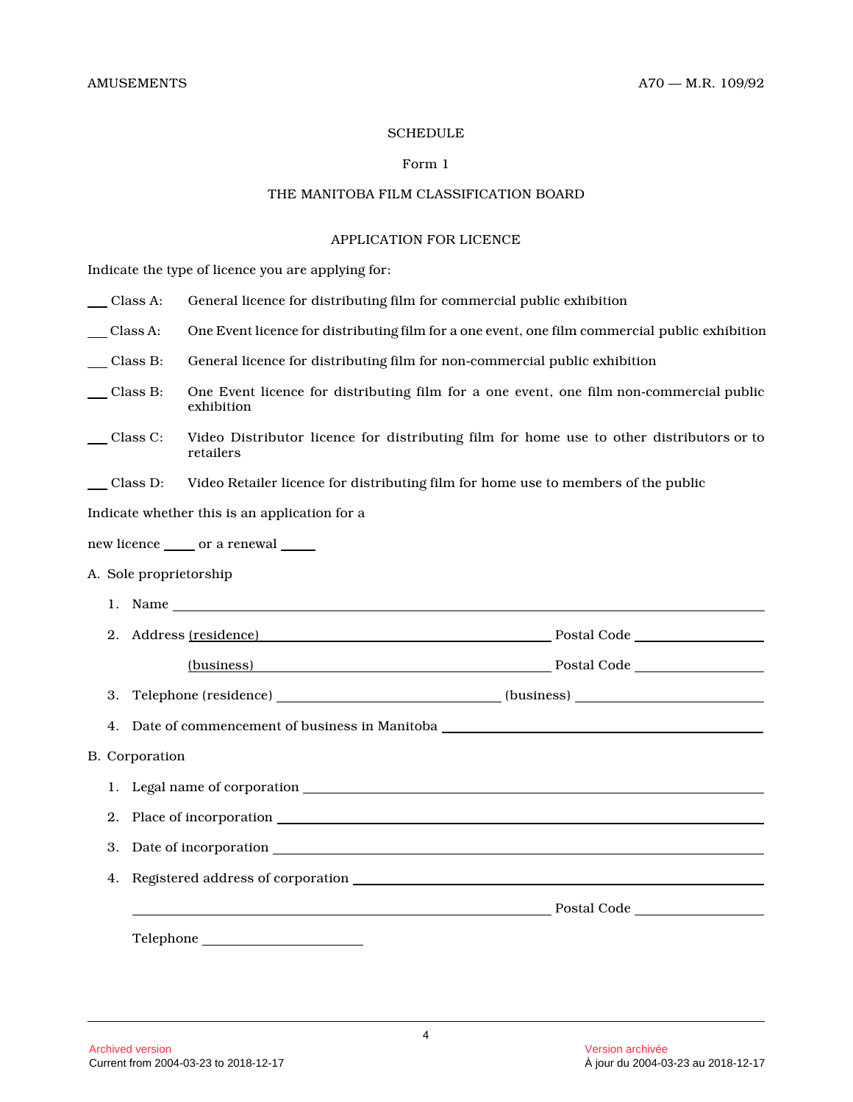#### **SCHEDULE**

# Form 1

# THE MANITOBA FILM CLASSIFICATION BOARD

#### APPLICATION FOR LICENCE

Indicate the type of licence you are applying for:

| $\angle$ Class A:     | General licence for distributing film for commercial public exhibition                                |                                                                                                                                                                                                                                     |  |
|-----------------------|-------------------------------------------------------------------------------------------------------|-------------------------------------------------------------------------------------------------------------------------------------------------------------------------------------------------------------------------------------|--|
| $\angle$ Class A:     | One Event licence for distributing film for a one event, one film commercial public exhibition        |                                                                                                                                                                                                                                     |  |
| Class B:              | General licence for distributing film for non-commercial public exhibition                            |                                                                                                                                                                                                                                     |  |
| Class B:              | One Event licence for distributing film for a one event, one film non-commercial public<br>exhibition |                                                                                                                                                                                                                                     |  |
| Class C:              | retailers                                                                                             | Video Distributor licence for distributing film for home use to other distributors or to                                                                                                                                            |  |
| Class D:              |                                                                                                       | Video Retailer licence for distributing film for home use to members of the public                                                                                                                                                  |  |
|                       | Indicate whether this is an application for a                                                         |                                                                                                                                                                                                                                     |  |
|                       | new licence ______ or a renewal _____                                                                 |                                                                                                                                                                                                                                     |  |
|                       | A. Sole proprietorship                                                                                |                                                                                                                                                                                                                                     |  |
|                       |                                                                                                       |                                                                                                                                                                                                                                     |  |
| 2.                    |                                                                                                       | Address <u>(residence)</u> Postal Code Residence Provide Provide Postal Code Residence Provide Provide Provide Provide Provide Provide Provide Provide Provide Provide Provide Provide Provide Provide Provide Provide Provide Prov |  |
|                       |                                                                                                       |                                                                                                                                                                                                                                     |  |
| 3.                    |                                                                                                       | Telephone (residence) ____________________________(business) ____________________                                                                                                                                                   |  |
| 4.                    |                                                                                                       |                                                                                                                                                                                                                                     |  |
| <b>B.</b> Corporation |                                                                                                       |                                                                                                                                                                                                                                     |  |
| 1.                    |                                                                                                       |                                                                                                                                                                                                                                     |  |
| 2.                    |                                                                                                       |                                                                                                                                                                                                                                     |  |
| 3.                    |                                                                                                       |                                                                                                                                                                                                                                     |  |
| 4.                    |                                                                                                       | Registered address of corporation with the control of the control of the control of the control of the control of the control of the control of the control of the control of the control of the control of the control of the      |  |
|                       |                                                                                                       |                                                                                                                                                                                                                                     |  |
|                       | Telephone <b>Example 2018</b>                                                                         |                                                                                                                                                                                                                                     |  |
|                       |                                                                                                       |                                                                                                                                                                                                                                     |  |
|                       |                                                                                                       |                                                                                                                                                                                                                                     |  |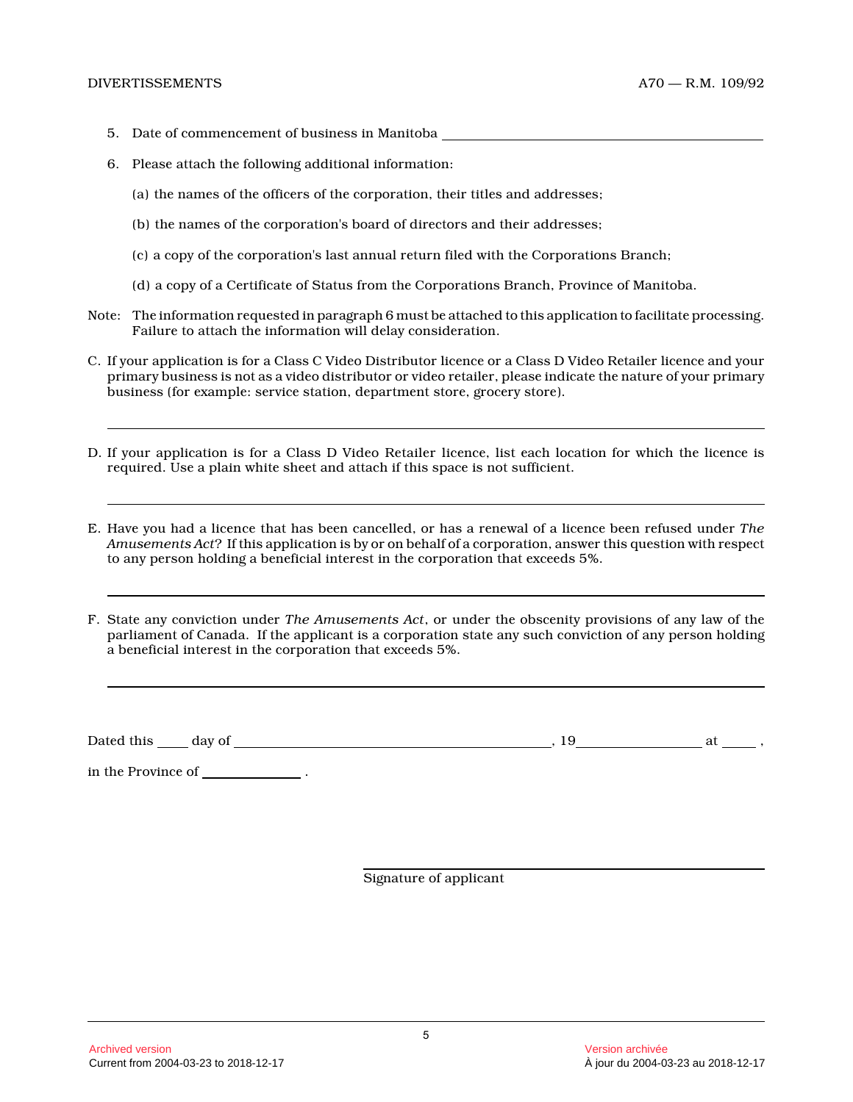- 5. Date of commencement of business in Manitoba
- 6. Please attach the following additional information:
	- (a) the names of the officers of the corporation, their titles and addresses;
	- (b) the names of the corporation's board of directors and their addresses;
	- (c) a copy of the corporation's last annual return filed with the Corporations Branch;
	- (d) a copy of a Certificate of Status from the Corporations Branch, Province of Manitoba.
- Note: The information requested in paragraph 6 must be attached to this application to facilitate processing. Failure to attach the information will delay consideration.
- C. If your application is for a Class C Video Distributor licence or a Class D Video Retailer licence and your primary business is not as a video distributor or video retailer, please indicate the nature of your primary business (for example: service station, department store, grocery store).
- D. If your application is for a Class D Video Retailer licence, list each location for which the licence is required. Use a plain white sheet and attach if this space is not sufficient.
- E. Have you had a licence that has been cancelled, or has a renewal of a licence been refused under *The Amusements Act*? If this application is by or on behalf of a corporation, answer this question with respect to any person holding a beneficial interest in the corporation that exceeds 5%.
- F. State any conviction under *The Amusements Act*, or under the obscenity provisions of any law of the parliament of Canada. If the applicant is a corporation state any such conviction of any person holding a beneficial interest in the corporation that exceeds 5%.

Dated this day of , 19 at ,

in the Province of  $\hfill\blacksquare$  .

Signature of applicant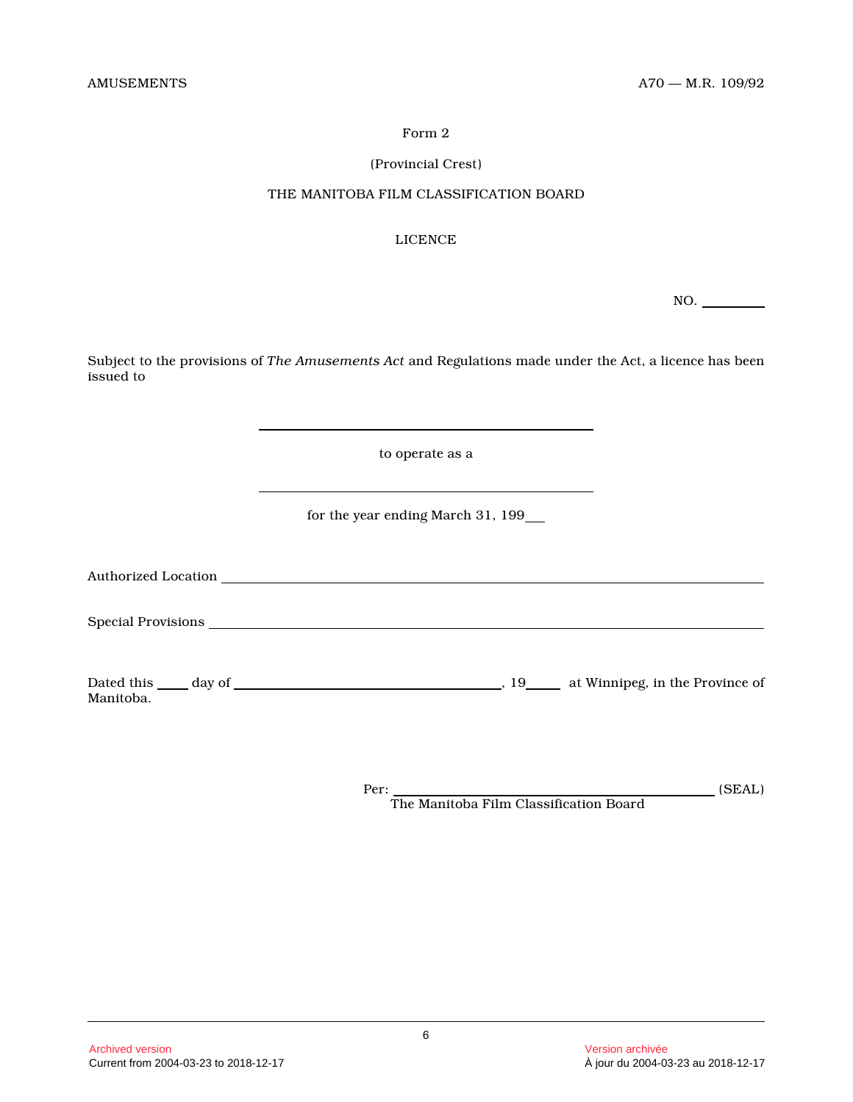# (Provincial Crest)

# THE MANITOBA FILM CLASSIFICATION BOARD

# LICENCE

NO.

Subject to the provisions of *The Amusements Act* and Regulations made under the Act, a licence has been issued to

to operate as a

for the year ending March 31, 199

Authorized Location

Special Provisions extends the set of the set of the set of the set of the set of the set of the set of the set of the set of the set of the set of the set of the set of the set of the set of the set of the set of the set

Dated this day of , 19 at Winnipeg, in the Province of Manitoba.

> Per: (SEAL) The Manitoba Film Classification Board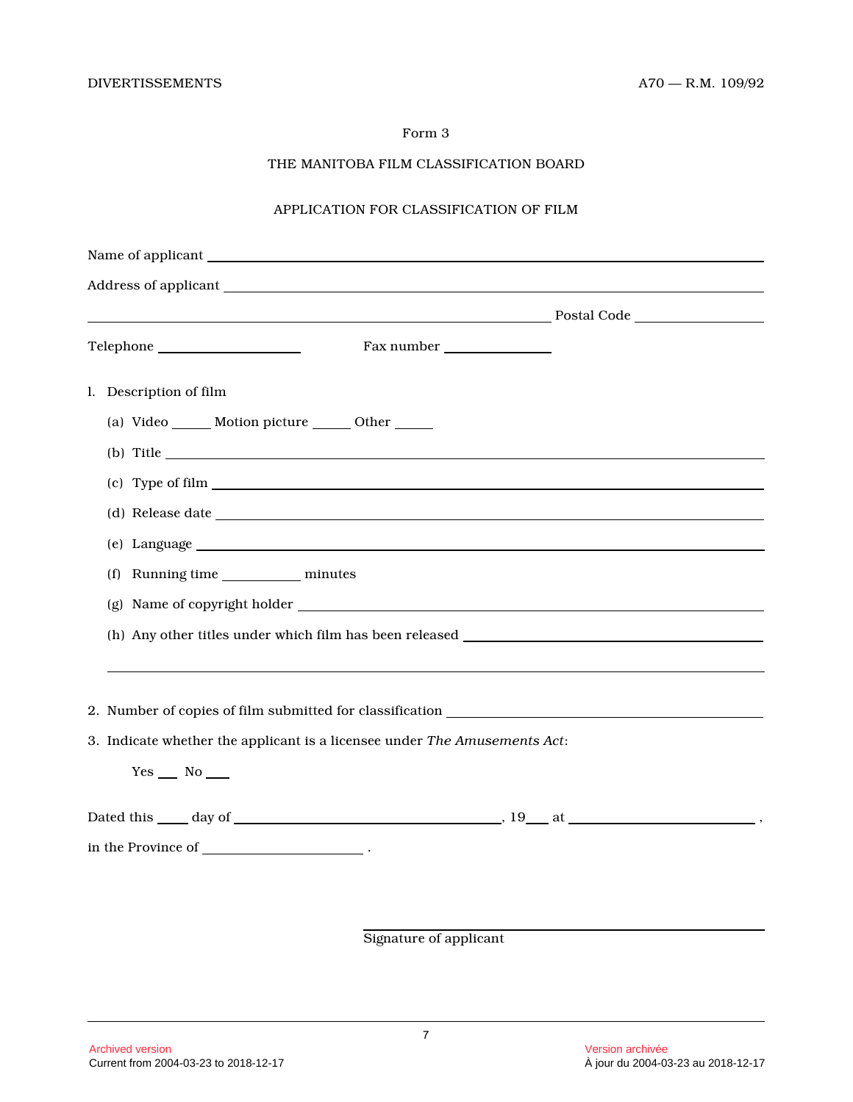# THE MANITOBA FILM CLASSIFICATION BOARD

# APPLICATION FOR CLASSIFICATION OF FILM

| Fax number                                                                                                                                                                                                                           |  |
|--------------------------------------------------------------------------------------------------------------------------------------------------------------------------------------------------------------------------------------|--|
| l. Description of film                                                                                                                                                                                                               |  |
| (a) Video ______ Motion picture ______ Other _____                                                                                                                                                                                   |  |
| $(b)$ Title                                                                                                                                                                                                                          |  |
|                                                                                                                                                                                                                                      |  |
|                                                                                                                                                                                                                                      |  |
|                                                                                                                                                                                                                                      |  |
| (f) Running time _____________ minutes                                                                                                                                                                                               |  |
|                                                                                                                                                                                                                                      |  |
| (h) Any other titles under which film has been released <b>the contract of the contract of the contract of the contract of the contract of the contract of the contract of the contract of the contract of the contract of the c</b> |  |
|                                                                                                                                                                                                                                      |  |
|                                                                                                                                                                                                                                      |  |
| 3. Indicate whether the applicant is a licensee under The Amusements Act:                                                                                                                                                            |  |
| $Yes$ No $\_\_$                                                                                                                                                                                                                      |  |
|                                                                                                                                                                                                                                      |  |
| in the Province of $\_\_$                                                                                                                                                                                                            |  |
|                                                                                                                                                                                                                                      |  |
|                                                                                                                                                                                                                                      |  |

Signature of applicant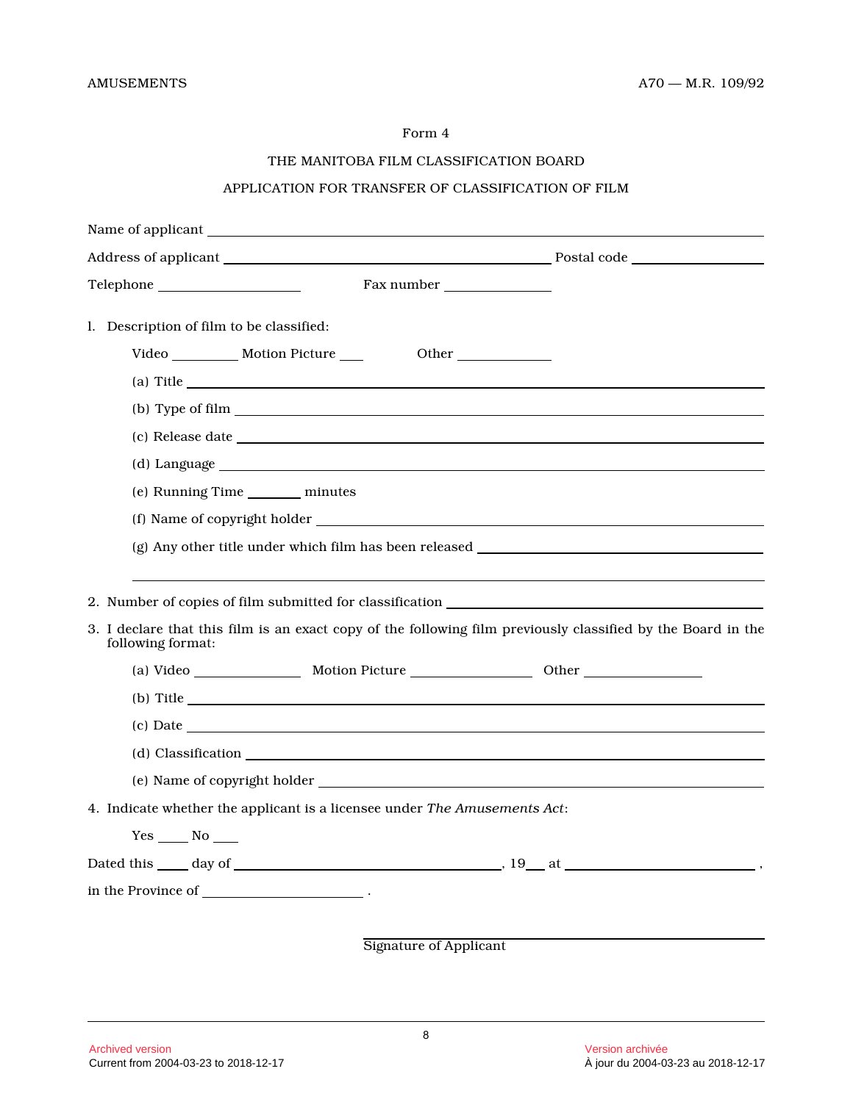# THE MANITOBA FILM CLASSIFICATION BOARD

# APPLICATION FOR TRANSFER OF CLASSIFICATION OF FILM

| l. Description of film to be classified:                                                                                                                                                                                                                                                                                                  |  |  |  |  |
|-------------------------------------------------------------------------------------------------------------------------------------------------------------------------------------------------------------------------------------------------------------------------------------------------------------------------------------------|--|--|--|--|
| Video _______________ Motion Picture _____<br>Other                                                                                                                                                                                                                                                                                       |  |  |  |  |
| (a) Title $\qquad \qquad$ $\qquad \qquad$ $\qquad$ $\qquad$ $\qquad$ $\qquad$ $\qquad$ $\qquad$ $\qquad$ $\qquad$ $\qquad$ $\qquad$ $\qquad$ $\qquad$ $\qquad$ $\qquad$ $\qquad$ $\qquad$ $\qquad$ $\qquad$ $\qquad$ $\qquad$ $\qquad$ $\qquad$ $\qquad$ $\qquad$ $\qquad$ $\qquad$ $\qquad$ $\qquad$ $\qquad$ $\qquad$ $\qquad$ $\qquad$ |  |  |  |  |
|                                                                                                                                                                                                                                                                                                                                           |  |  |  |  |
|                                                                                                                                                                                                                                                                                                                                           |  |  |  |  |
|                                                                                                                                                                                                                                                                                                                                           |  |  |  |  |
| (e) Running Time ________ minutes                                                                                                                                                                                                                                                                                                         |  |  |  |  |
|                                                                                                                                                                                                                                                                                                                                           |  |  |  |  |
|                                                                                                                                                                                                                                                                                                                                           |  |  |  |  |
| 3. I declare that this film is an exact copy of the following film previously classified by the Board in the<br>following format:                                                                                                                                                                                                         |  |  |  |  |
|                                                                                                                                                                                                                                                                                                                                           |  |  |  |  |
| (b) Title $\qquad \qquad$                                                                                                                                                                                                                                                                                                                 |  |  |  |  |
| (c) Date                                                                                                                                                                                                                                                                                                                                  |  |  |  |  |
|                                                                                                                                                                                                                                                                                                                                           |  |  |  |  |
|                                                                                                                                                                                                                                                                                                                                           |  |  |  |  |
| 4. Indicate whether the applicant is a licensee under The Amusements Act:                                                                                                                                                                                                                                                                 |  |  |  |  |
| $Yes \_\_ No \_\_$                                                                                                                                                                                                                                                                                                                        |  |  |  |  |
|                                                                                                                                                                                                                                                                                                                                           |  |  |  |  |
| in the Province of $\_\_$                                                                                                                                                                                                                                                                                                                 |  |  |  |  |
|                                                                                                                                                                                                                                                                                                                                           |  |  |  |  |
| <b>Signature of Applicant</b>                                                                                                                                                                                                                                                                                                             |  |  |  |  |
|                                                                                                                                                                                                                                                                                                                                           |  |  |  |  |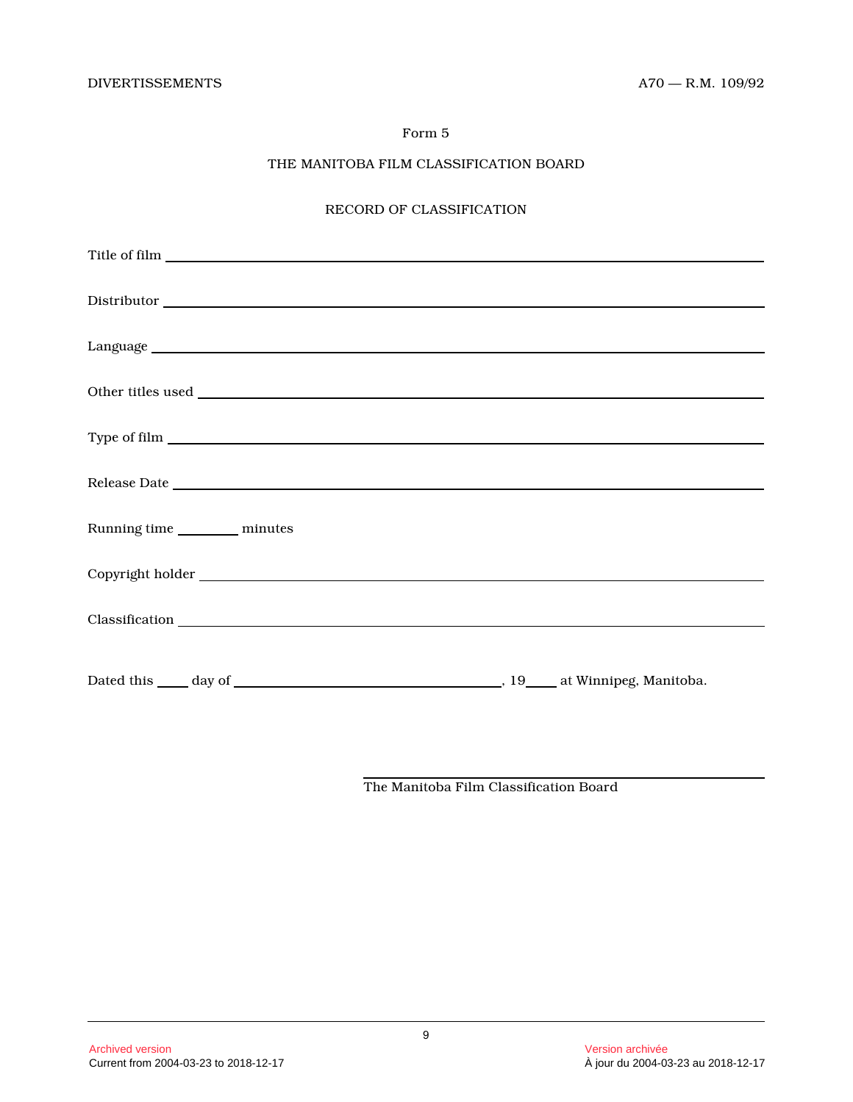# THE MANITOBA FILM CLASSIFICATION BOARD

# RECORD OF CLASSIFICATION

| Running time _________ minutes |  |
|--------------------------------|--|
|                                |  |
|                                |  |
|                                |  |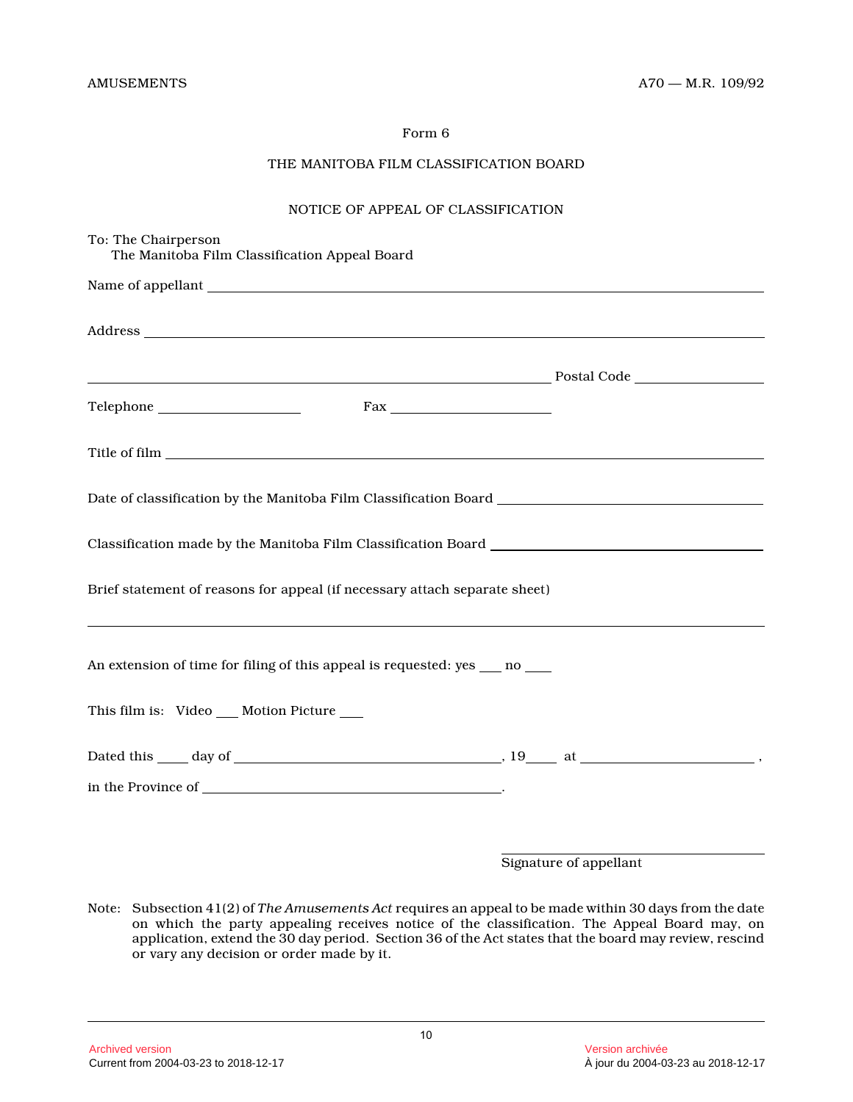# THE MANITOBA FILM CLASSIFICATION BOARD

#### NOTICE OF APPEAL OF CLASSIFICATION

| To: The Chairperson<br>The Manitoba Film Classification Appeal Board       |  |  |
|----------------------------------------------------------------------------|--|--|
|                                                                            |  |  |
|                                                                            |  |  |
|                                                                            |  |  |
|                                                                            |  |  |
|                                                                            |  |  |
|                                                                            |  |  |
|                                                                            |  |  |
| Brief statement of reasons for appeal (if necessary attach separate sheet) |  |  |
| An extension of time for filing of this appeal is requested: yes __ no __  |  |  |
| This film is: Video __ Motion Picture __                                   |  |  |
|                                                                            |  |  |
| in the Province of $\overline{\phantom{a}}$                                |  |  |
|                                                                            |  |  |

Signature of appellant

Note: Subsection 41(2) of *The Amusements Act* requires an appeal to be made within 30 days from the date on which the party appealing receives notice of the classification. The Appeal Board may, on application, extend the 30 day period. Section 36 of the Act states that the board may review, rescin d or vary any decision or order made by it.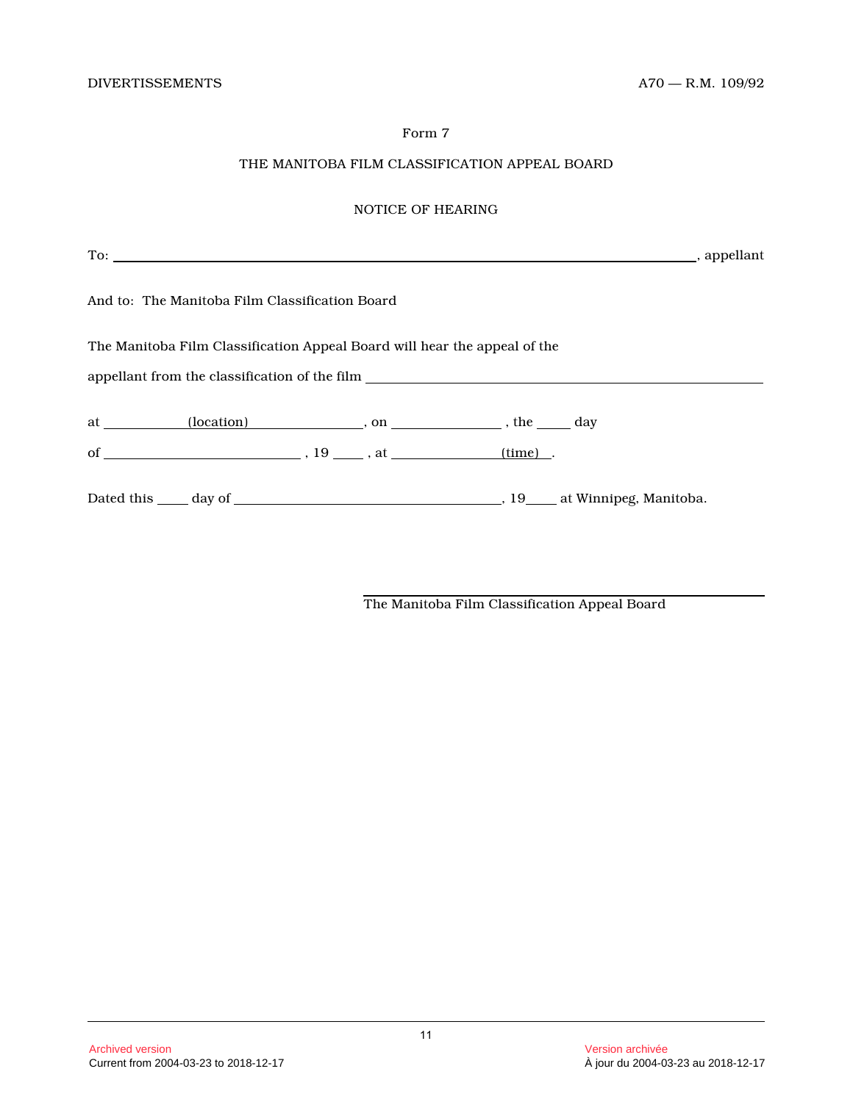# THE MANITOBA FILM CLASSIFICATION APPEAL BOARD

# NOTICE OF HEARING

| And to: The Manitoba Film Classification Board                                                                                                                |  |  |
|---------------------------------------------------------------------------------------------------------------------------------------------------------------|--|--|
| The Manitoba Film Classification Appeal Board will hear the appeal of the<br>appellant from the classification of the film __________________________________ |  |  |
|                                                                                                                                                               |  |  |
|                                                                                                                                                               |  |  |
|                                                                                                                                                               |  |  |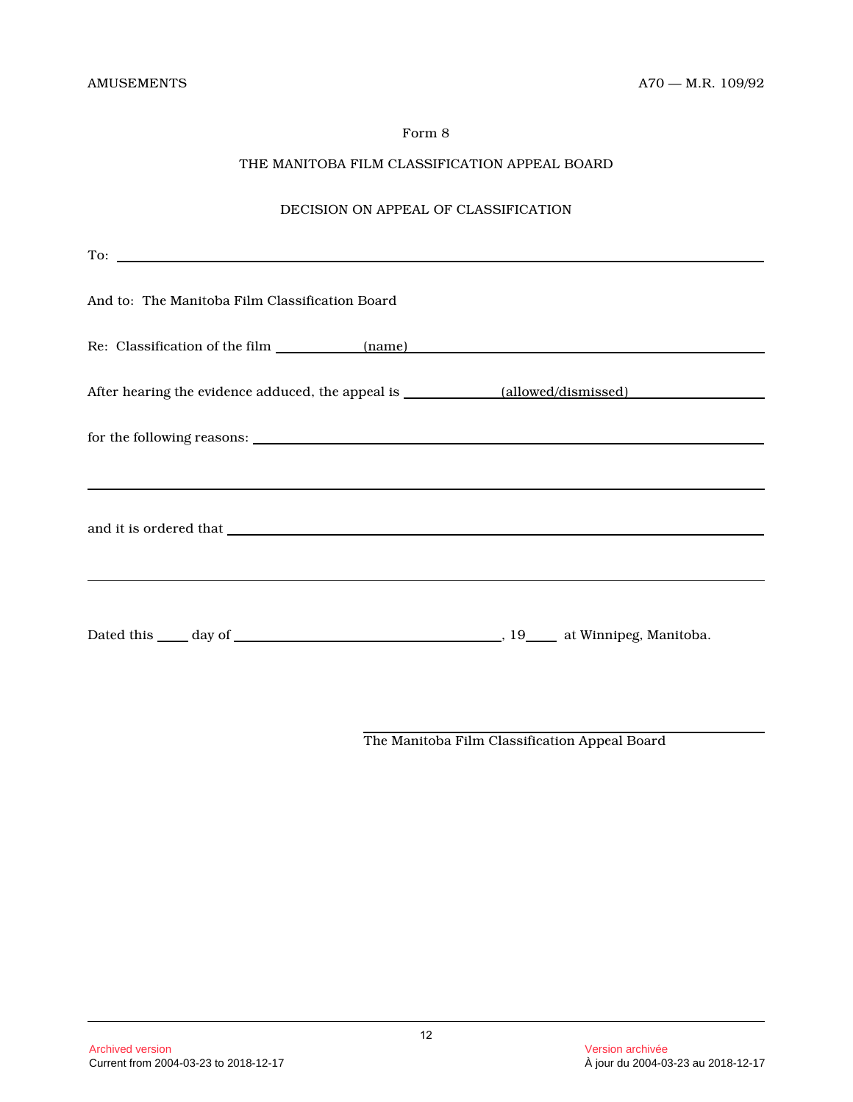# THE MANITOBA FILM CLASSIFICATION APPEAL BOARD

# DECISION ON APPEAL OF CLASSIFICATION

| And to: The Manitoba Film Classification Board                                                                                                                                                                                 |  |
|--------------------------------------------------------------------------------------------------------------------------------------------------------------------------------------------------------------------------------|--|
| Re: Classification of the film (name) (name)                                                                                                                                                                                   |  |
|                                                                                                                                                                                                                                |  |
|                                                                                                                                                                                                                                |  |
| ,我们也不会有什么?""我们的人,我们也不会有什么?""我们的人,我们也不会有什么?""我们的人,我们也不会有什么?""我们的人,我们也不会有什么?""我们的人                                                                                                                                               |  |
| and it is ordered that which is a set of the set of the set of the set of the set of the set of the set of the set of the set of the set of the set of the set of the set of the set of the set of the set of the set of the s |  |
|                                                                                                                                                                                                                                |  |
|                                                                                                                                                                                                                                |  |
|                                                                                                                                                                                                                                |  |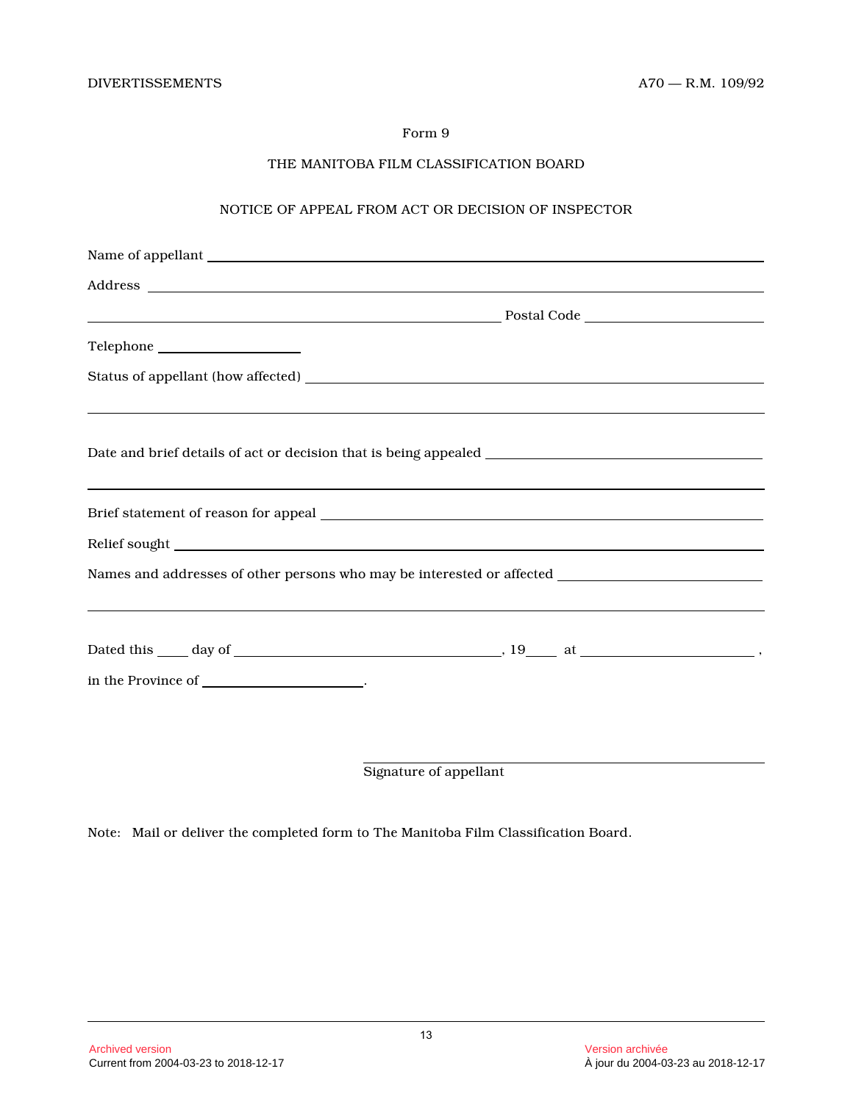# THE MANITOBA FILM CLASSIFICATION BOARD

# NOTICE OF APPEAL FROM ACT OR DECISION OF INSPECTOR

| ,我们也不会有什么?""我们的人,我们也不会有什么?""我们的人,我们也不会有什么?""我们的人,我们也不会有什么?""我们的人,我们也不会有什么?""我们的人                     |
|------------------------------------------------------------------------------------------------------|
|                                                                                                      |
|                                                                                                      |
| Names and addresses of other persons who may be interested or affected _____________________________ |
|                                                                                                      |
|                                                                                                      |
| in the Province of _______________________.                                                          |
|                                                                                                      |

Signature of appellant

Note: Mail or deliver the completed form to The Manitoba Film Classification Board.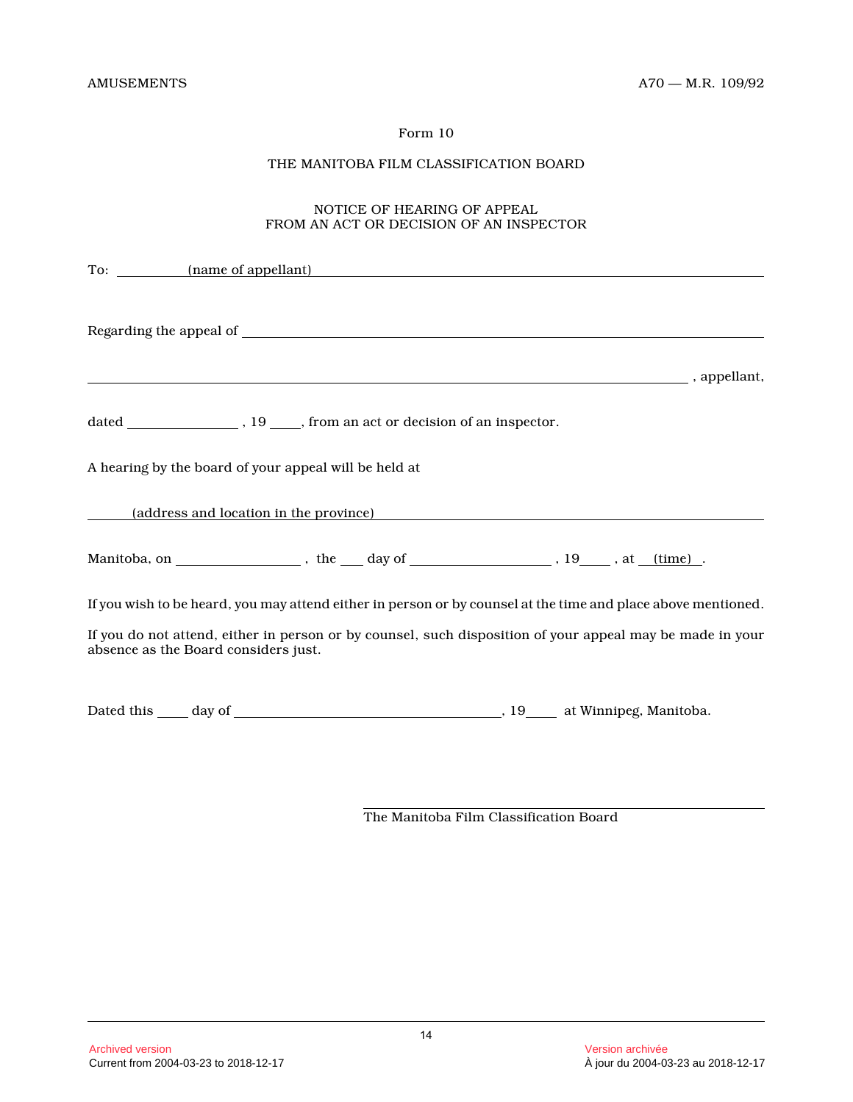# THE MANITOBA FILM CLASSIFICATION BOARD

# NOTICE OF HEARING OF APPEAL FROM AN ACT OR DECISION OF AN INSPECTOR

| To: <u>(name of appellant)</u>                                                                                                                    |  |  |  |
|---------------------------------------------------------------------------------------------------------------------------------------------------|--|--|--|
|                                                                                                                                                   |  |  |  |
| $\blacksquare$ , appellant,                                                                                                                       |  |  |  |
|                                                                                                                                                   |  |  |  |
| A hearing by the board of your appeal will be held at                                                                                             |  |  |  |
| (address and location in the province)                                                                                                            |  |  |  |
|                                                                                                                                                   |  |  |  |
| If you wish to be heard, you may attend either in person or by counsel at the time and place above mentioned.                                     |  |  |  |
| If you do not attend, either in person or by counsel, such disposition of your appeal may be made in your<br>absence as the Board considers just. |  |  |  |
|                                                                                                                                                   |  |  |  |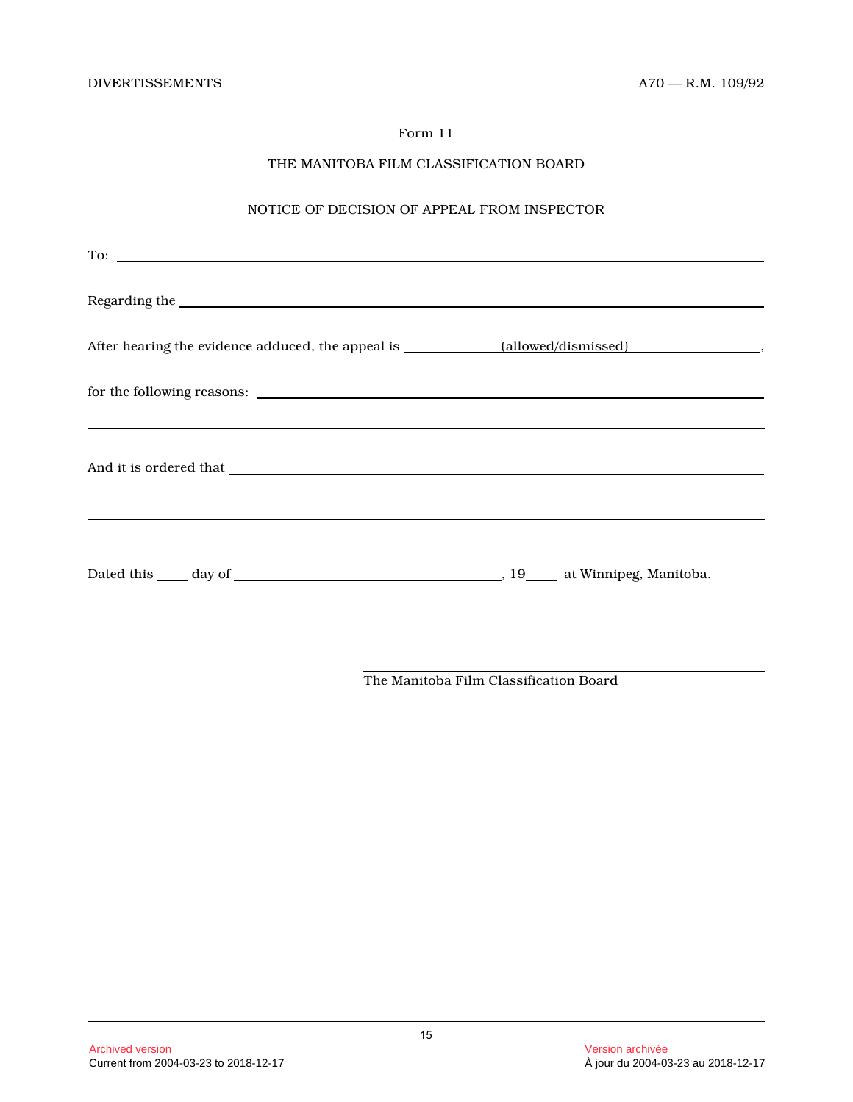# THE MANITOBA FILM CLASSIFICATION BOARD

# NOTICE OF DECISION OF APPEAL FROM INSPECTOR

| To:                                                                                                                                                 |  |
|-----------------------------------------------------------------------------------------------------------------------------------------------------|--|
|                                                                                                                                                     |  |
|                                                                                                                                                     |  |
| for the following reasons:<br><u> 1989 - Ann an Dùbhlachd ann an Dùbhlachd ann an Dùbhlachd ann an Dùbhlachd ann an Dùbhlachd ann an Dùbhlachd </u> |  |
|                                                                                                                                                     |  |
|                                                                                                                                                     |  |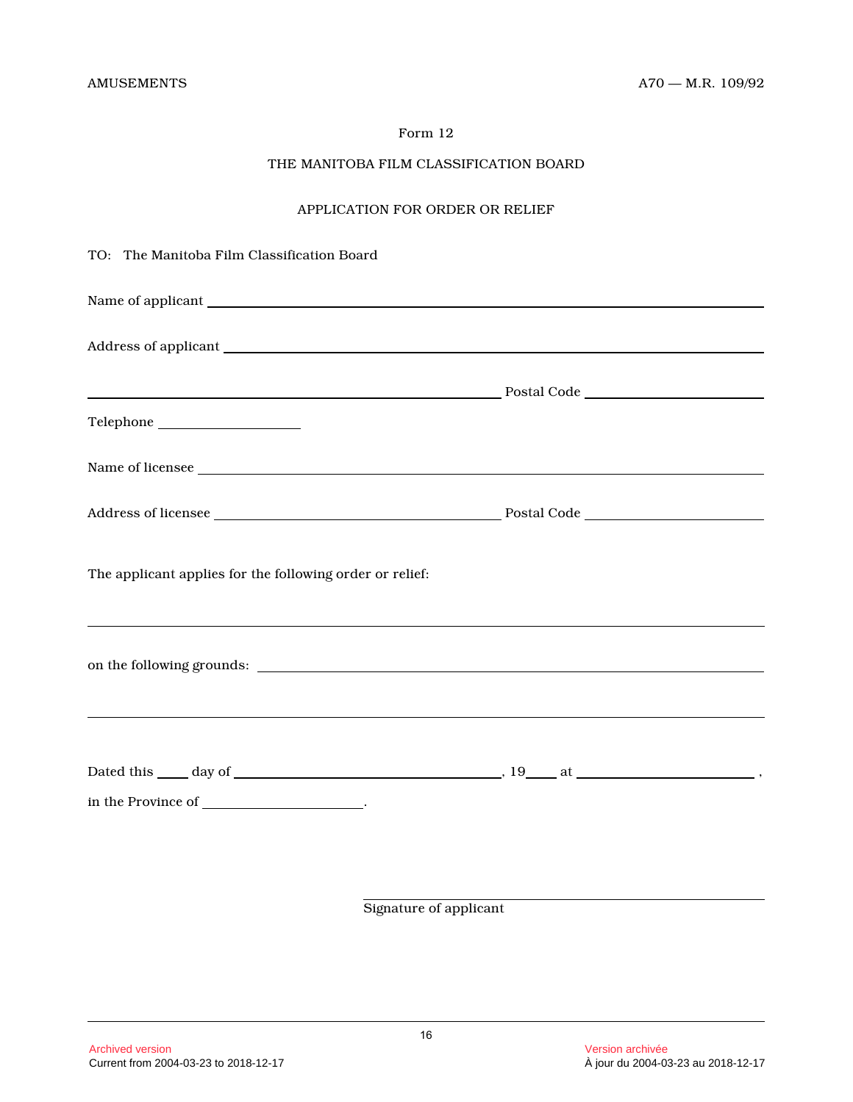# THE MANITOBA FILM CLASSIFICATION BOARD

# APPLICATION FOR ORDER OR RELIEF

| TO: The Manitoba Film Classification Board               |                                                                                                                                                                                                                                      |
|----------------------------------------------------------|--------------------------------------------------------------------------------------------------------------------------------------------------------------------------------------------------------------------------------------|
|                                                          |                                                                                                                                                                                                                                      |
|                                                          |                                                                                                                                                                                                                                      |
|                                                          |                                                                                                                                                                                                                                      |
|                                                          |                                                                                                                                                                                                                                      |
|                                                          | Name of licensee                                                                                                                                                                                                                     |
|                                                          |                                                                                                                                                                                                                                      |
| The applicant applies for the following order or relief: |                                                                                                                                                                                                                                      |
|                                                          | on the following grounds: <u>contained a set of the set of the set of the set of the set of the set of the set of the set of the set of the set of the set of the set of the set of the set of the set of the set of the set of </u> |
|                                                          |                                                                                                                                                                                                                                      |
| in the Province of _____________________.                |                                                                                                                                                                                                                                      |
|                                                          |                                                                                                                                                                                                                                      |
|                                                          | Signature of applicant                                                                                                                                                                                                               |
|                                                          |                                                                                                                                                                                                                                      |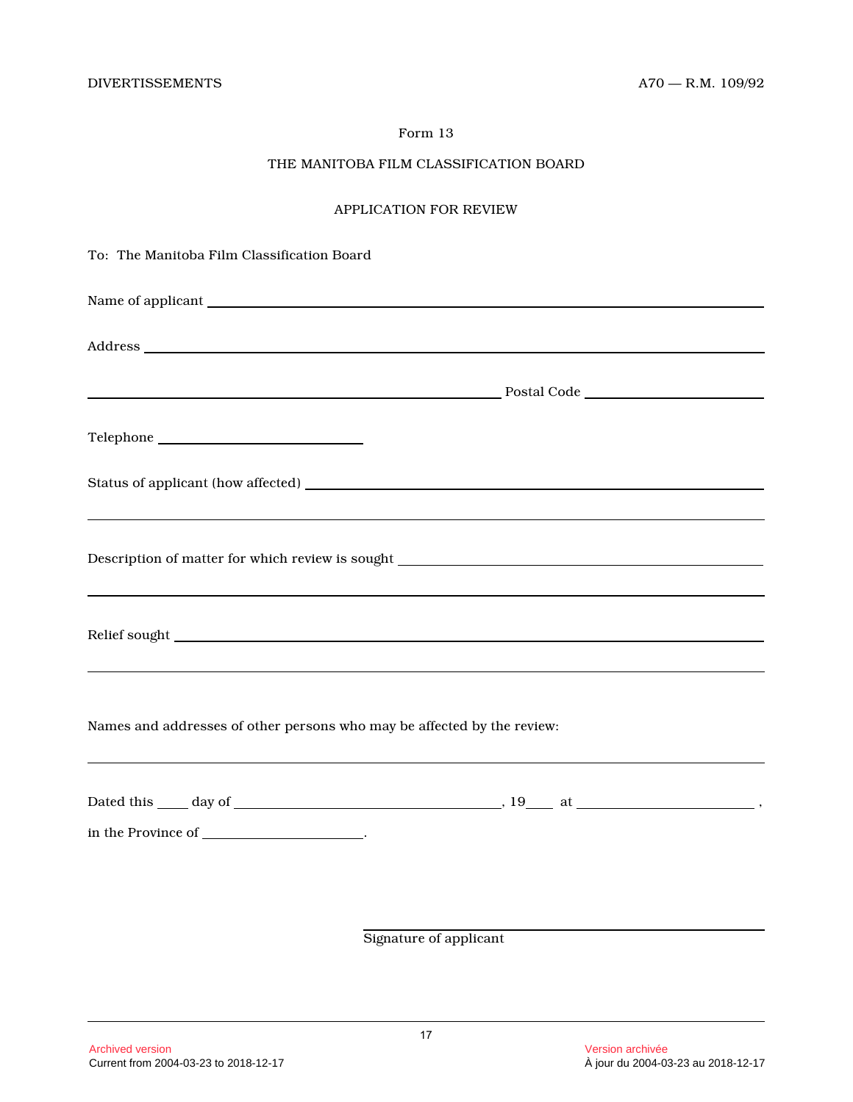# THE MANITOBA FILM CLASSIFICATION BOARD

# APPLICATION FOR REVIEW

| To: The Manitoba Film Classification Board                              |                        |
|-------------------------------------------------------------------------|------------------------|
|                                                                         |                        |
|                                                                         |                        |
|                                                                         |                        |
|                                                                         |                        |
|                                                                         |                        |
|                                                                         |                        |
|                                                                         |                        |
| Names and addresses of other persons who may be affected by the review: |                        |
|                                                                         |                        |
| in the Province of _____________________.                               |                        |
|                                                                         |                        |
|                                                                         | Signature of applicant |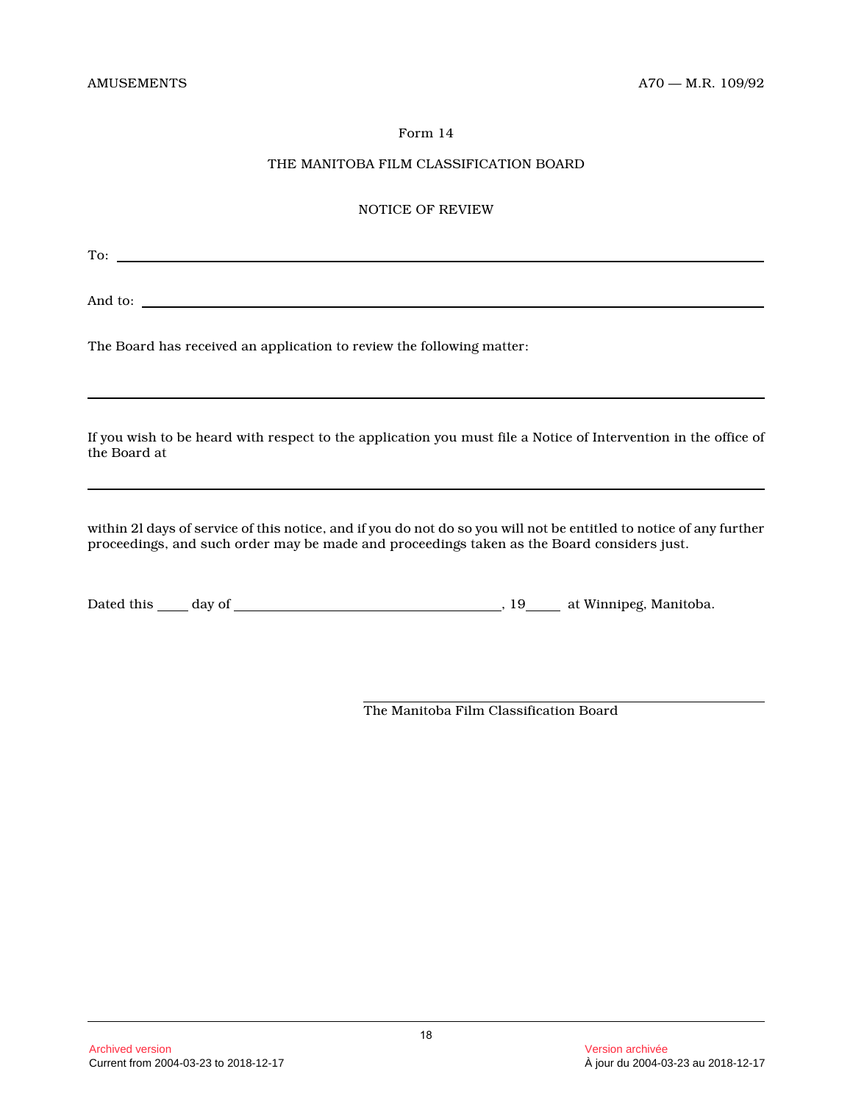# THE MANITOBA FILM CLASSIFICATION BOARD

#### NOTICE OF REVIEW

To: contract the contract of the contract of the contract of the contract of the contract of the contract of the contract of the contract of the contract of the contract of the contract of the contract of the contract of t

And to: <u>the contract of the contract of the contract of the contract of the contract of the contract of the contract of the contract of the contract of the contract of the contract of the contract of the contract of the c</u>

The Board has received an application to review the following matter:

If you wish to be heard with respect to the application you must file a Notice of Intervention in the office of the Board at

within 2l days of service of this notice, and if you do not do so you will not be entitled to notice of any further proceedings, and such order may be made and proceedings taken as the Board considers just.

Dated this day of , 19 at Winnipeg, Manitoba.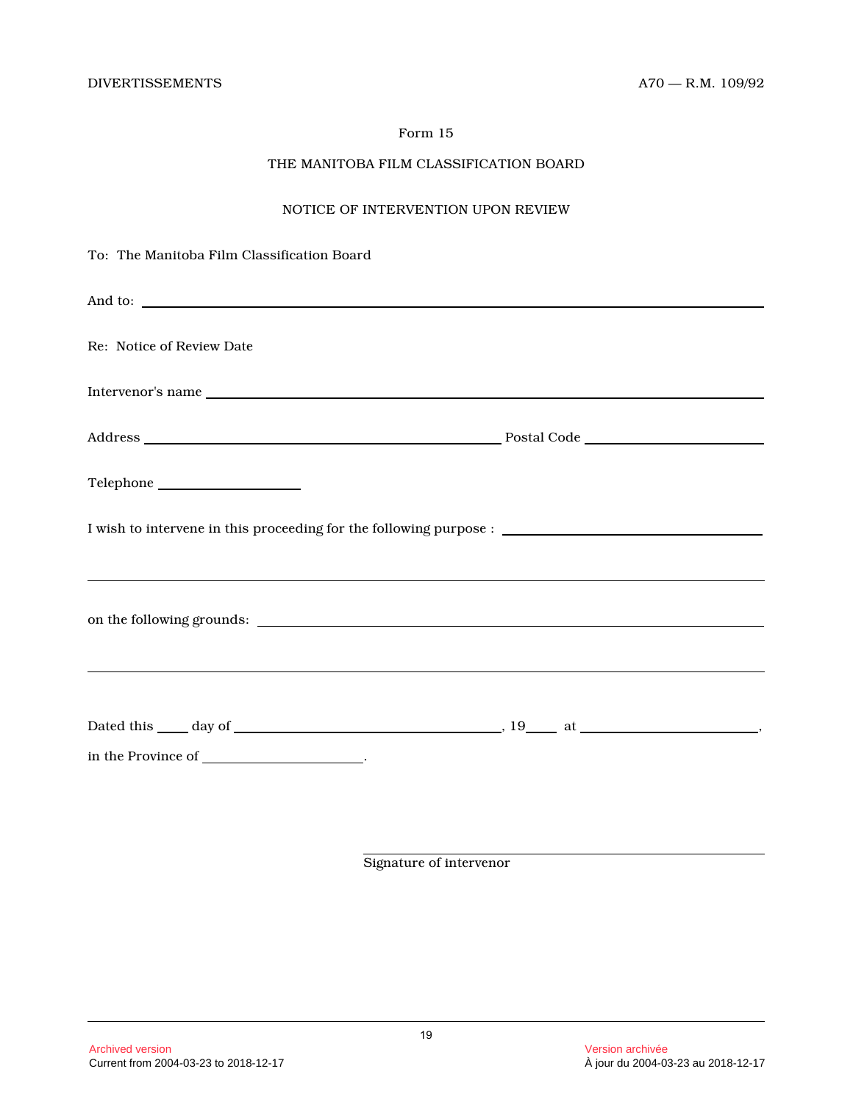# THE MANITOBA FILM CLASSIFICATION BOARD

# NOTICE OF INTERVENTION UPON REVIEW

| To: The Manitoba Film Classification Board                                                                            |  |
|-----------------------------------------------------------------------------------------------------------------------|--|
|                                                                                                                       |  |
| Re: Notice of Review Date                                                                                             |  |
| Intervenor's name                                                                                                     |  |
|                                                                                                                       |  |
|                                                                                                                       |  |
|                                                                                                                       |  |
|                                                                                                                       |  |
|                                                                                                                       |  |
| <u> 1999 - Johann Harry Harry Harry Harry Harry Harry Harry Harry Harry Harry Harry Harry Harry Harry Harry Harry</u> |  |
|                                                                                                                       |  |
|                                                                                                                       |  |
| in the Province of _____________________.                                                                             |  |
|                                                                                                                       |  |

Signature of intervenor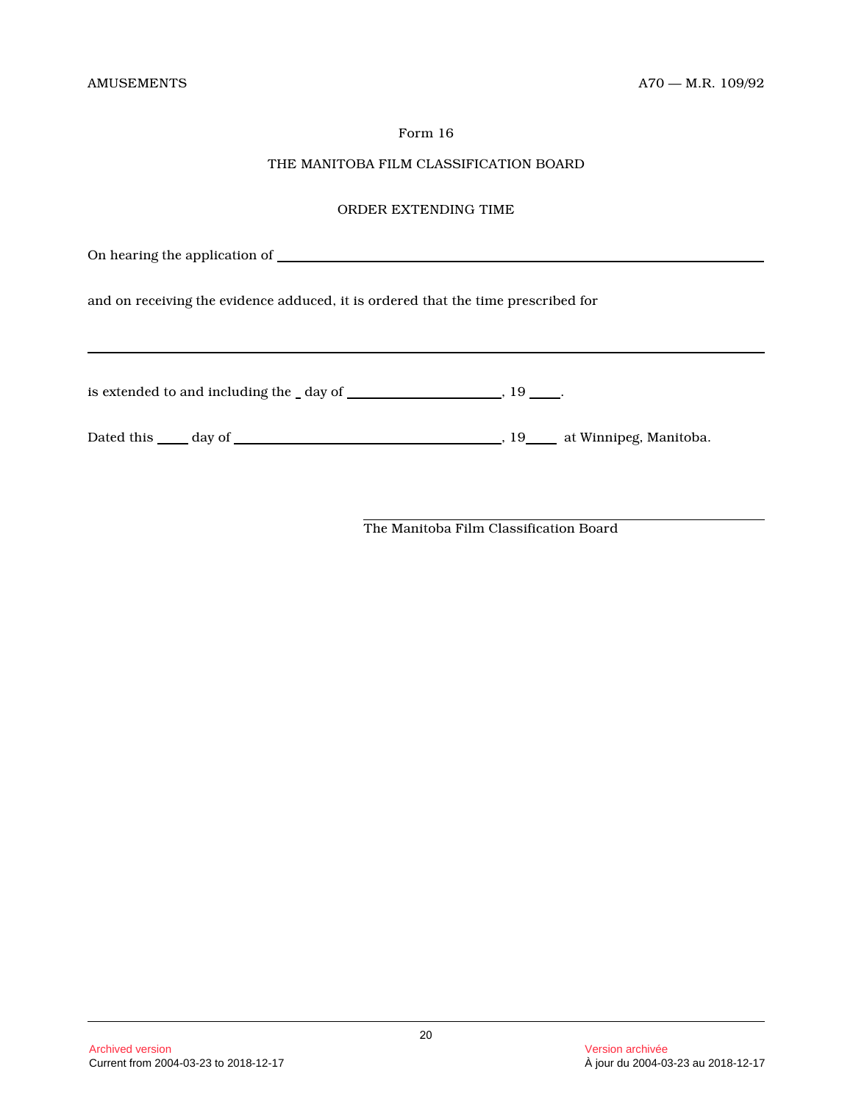# THE MANITOBA FILM CLASSIFICATION BOARD

# ORDER EXTENDING TIME

On hearing the application of and on receiving the evidence adduced, it is ordered that the time prescribed for is extended to and including the \_ day of \_\_\_\_\_\_\_\_\_\_\_\_\_\_\_\_\_\_\_\_\_\_\_\_\_, 19 \_\_\_\_\_.

Dated this day of , 19 at Winnipeg, Manitoba.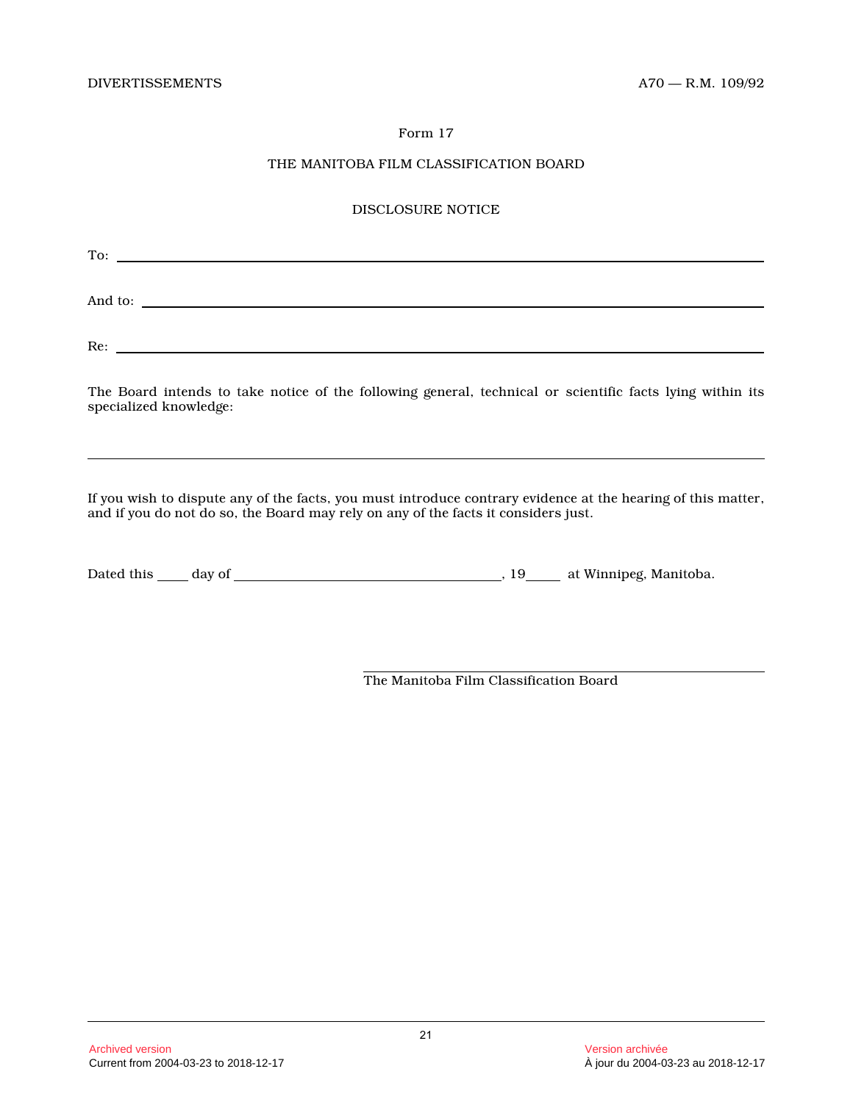# THE MANITOBA FILM CLASSIFICATION BOARD

# DISCLOSURE NOTICE

| To:     |  |  |  |
|---------|--|--|--|
| And to: |  |  |  |
| Re:     |  |  |  |

The Board intends to take notice of the following general, technical or scientific facts lying within its specialized knowledge:

If you wish to dispute any of the facts, you must introduce contrary evidence at the hearing of this matter, and if you do not do so, the Board may rely on any of the facts it considers just.

| Dated this | day of | at Winnipeg, Manitoba. |
|------------|--------|------------------------|
|            |        |                        |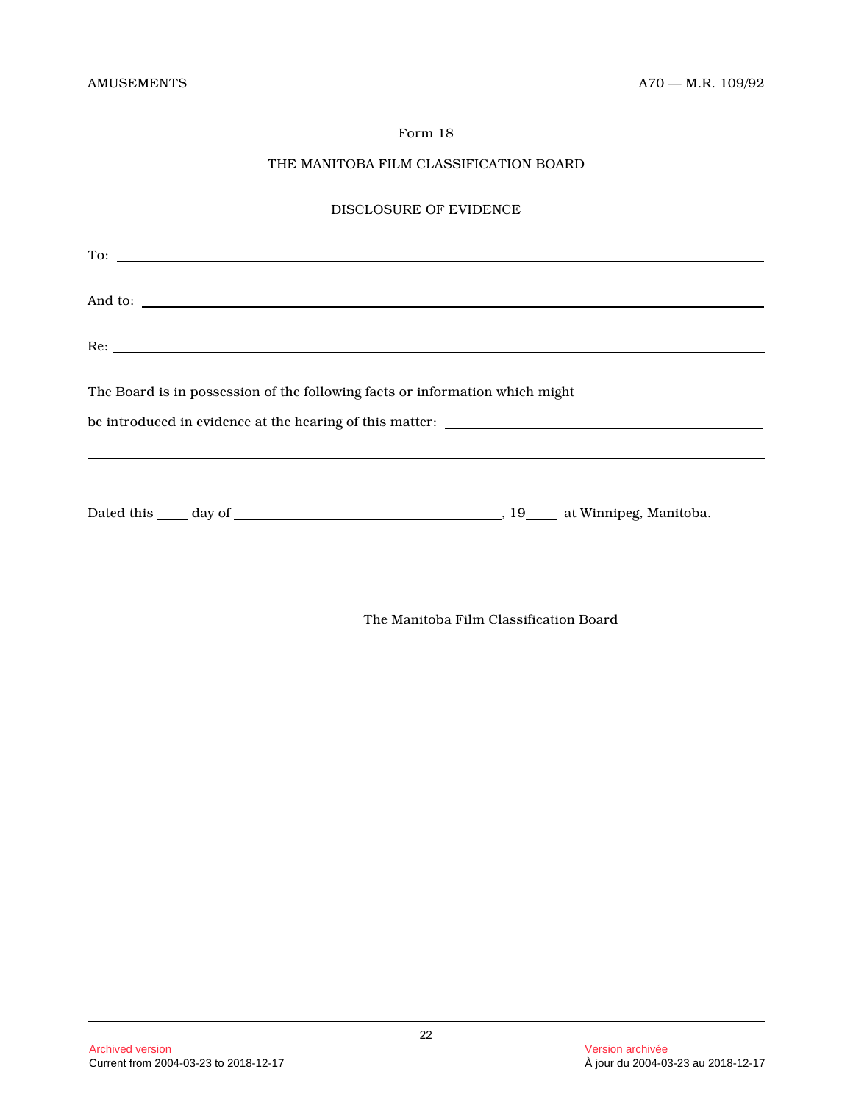# THE MANITOBA FILM CLASSIFICATION BOARD

# DISCLOSURE OF EVIDENCE

| And to:                                                                          |  |
|----------------------------------------------------------------------------------|--|
| Re:                                                                              |  |
| The Board is in possession of the following facts or information which might     |  |
| ,我们也不会有什么?""我们的人,我们也不会不会不会。""我们的人,我们也不会不会不会不会。""我们的人,我们也不会不会不会不会。""我们的人,我们也不会不会不 |  |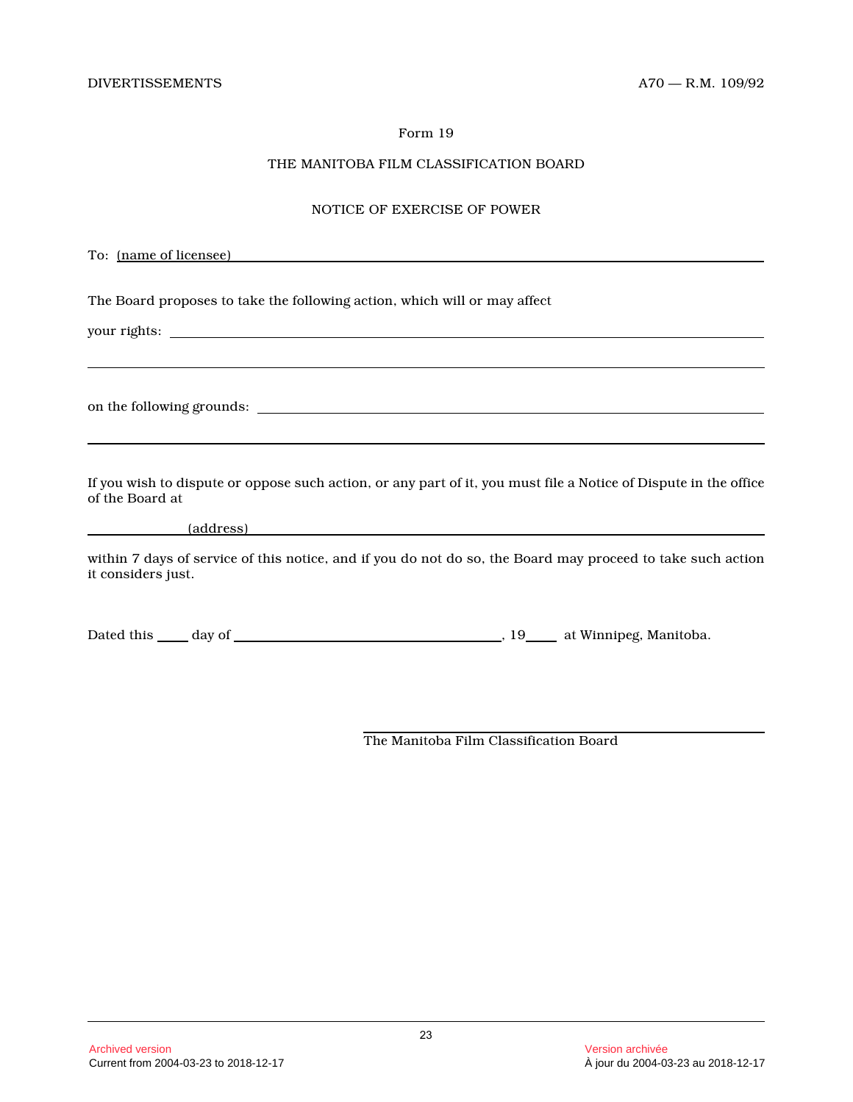# THE MANITOBA FILM CLASSIFICATION BOARD

#### NOTICE OF EXERCISE OF POWER

To: (name of licensee)

The Board proposes to take the following action, which will or may affect

your rights:

on the following grounds:

If you wish to dispute or oppose such action, or any part of it, you must file a Notice of Dispute in the office of the Board at

(address)

within 7 days of service of this notice, and if you do not do so, the Board may proceed to take such action it considers just.

Dated this day of , 19 at Winnipeg, Manitoba.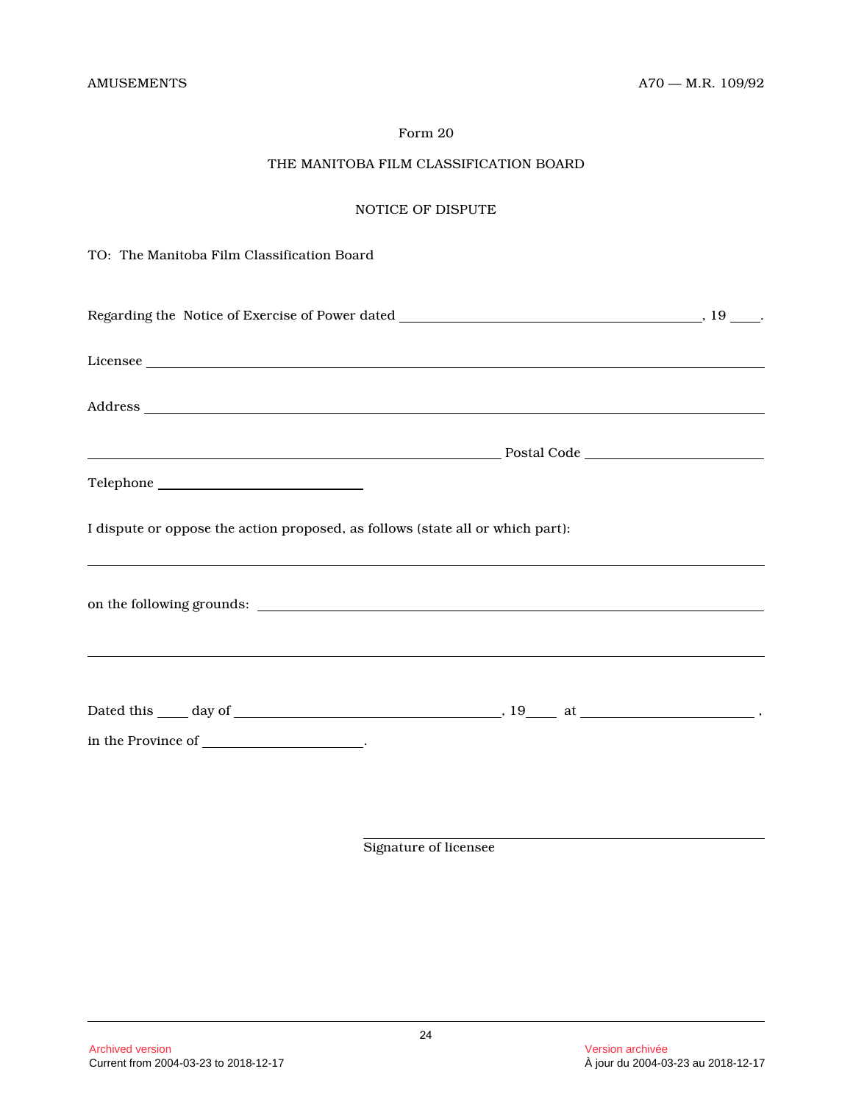# THE MANITOBA FILM CLASSIFICATION BOARD

# NOTICE OF DISPUTE

TO: The Manitoba Film Classification Board

| I dispute or oppose the action proposed, as follows (state all or which part): |  |
|--------------------------------------------------------------------------------|--|
|                                                                                |  |
| in the Province of _______________________.                                    |  |
|                                                                                |  |

Signature of licensee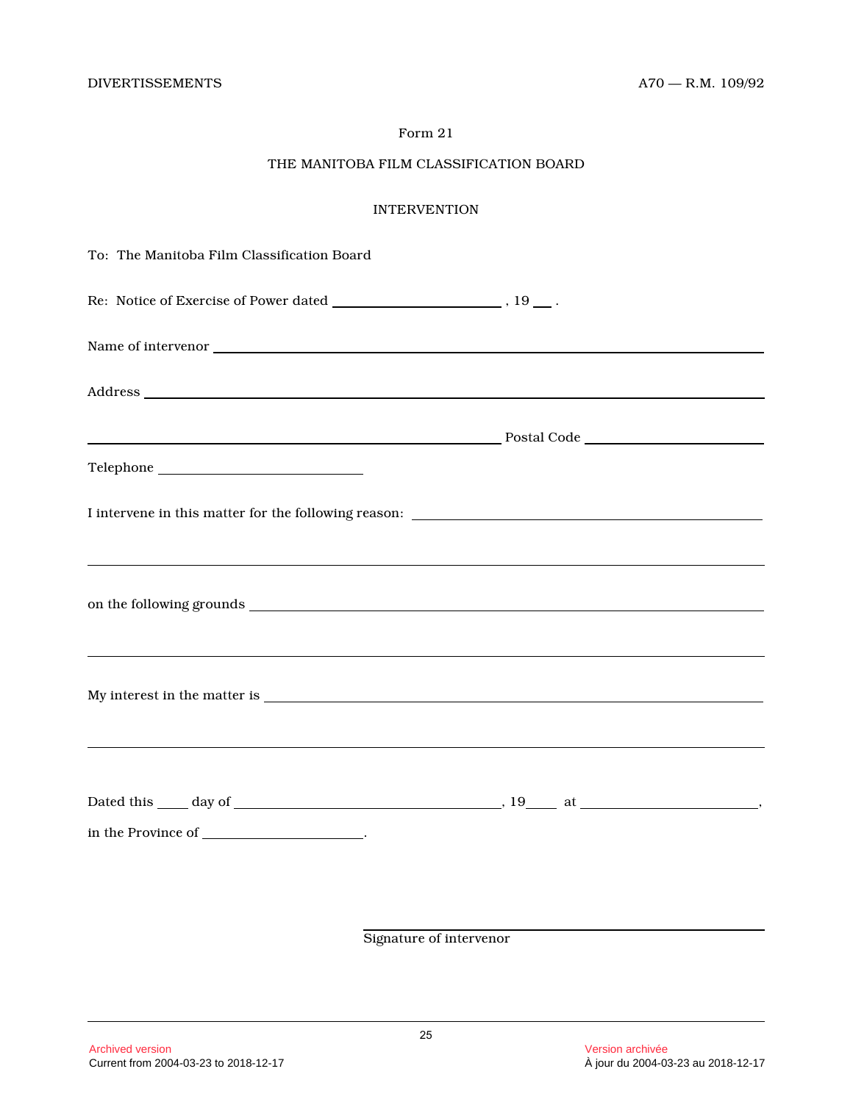# THE MANITOBA FILM CLASSIFICATION BOARD

# INTERVENTION

| To: The Manitoba Film Classification Board                                                                                                                                                                                     |  |
|--------------------------------------------------------------------------------------------------------------------------------------------------------------------------------------------------------------------------------|--|
|                                                                                                                                                                                                                                |  |
|                                                                                                                                                                                                                                |  |
| Address and the contract of the contract of the contract of the contract of the contract of the contract of the contract of the contract of the contract of the contract of the contract of the contract of the contract of th |  |
|                                                                                                                                                                                                                                |  |
|                                                                                                                                                                                                                                |  |
|                                                                                                                                                                                                                                |  |
|                                                                                                                                                                                                                                |  |
|                                                                                                                                                                                                                                |  |
| <u> 1989 - Andrea Santa Andrea Santa Andrea Santa Andrea Santa Andrea Santa Andrea Santa Andrea Santa Andrea San</u>                                                                                                           |  |
|                                                                                                                                                                                                                                |  |
| <u> 1989 - Johann Stoff, amerikansk politiker (d. 1989)</u>                                                                                                                                                                    |  |
|                                                                                                                                                                                                                                |  |
|                                                                                                                                                                                                                                |  |
| in the Province of _____________________.                                                                                                                                                                                      |  |
|                                                                                                                                                                                                                                |  |
|                                                                                                                                                                                                                                |  |

Signature of intervenor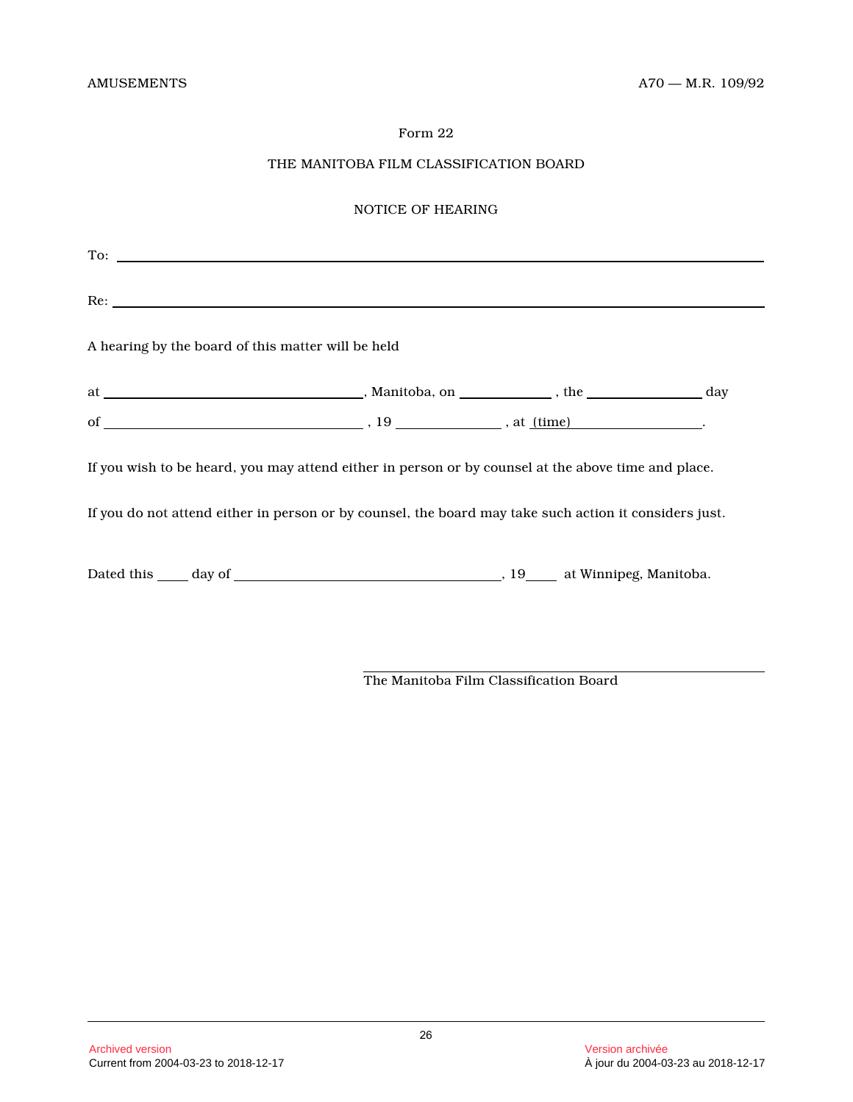# THE MANITOBA FILM CLASSIFICATION BOARD

# NOTICE OF HEARING

| To:                                                                                                    |  |  |
|--------------------------------------------------------------------------------------------------------|--|--|
|                                                                                                        |  |  |
| A hearing by the board of this matter will be held                                                     |  |  |
|                                                                                                        |  |  |
|                                                                                                        |  |  |
| If you wish to be heard, you may attend either in person or by counsel at the above time and place.    |  |  |
| If you do not attend either in person or by counsel, the board may take such action it considers just. |  |  |
|                                                                                                        |  |  |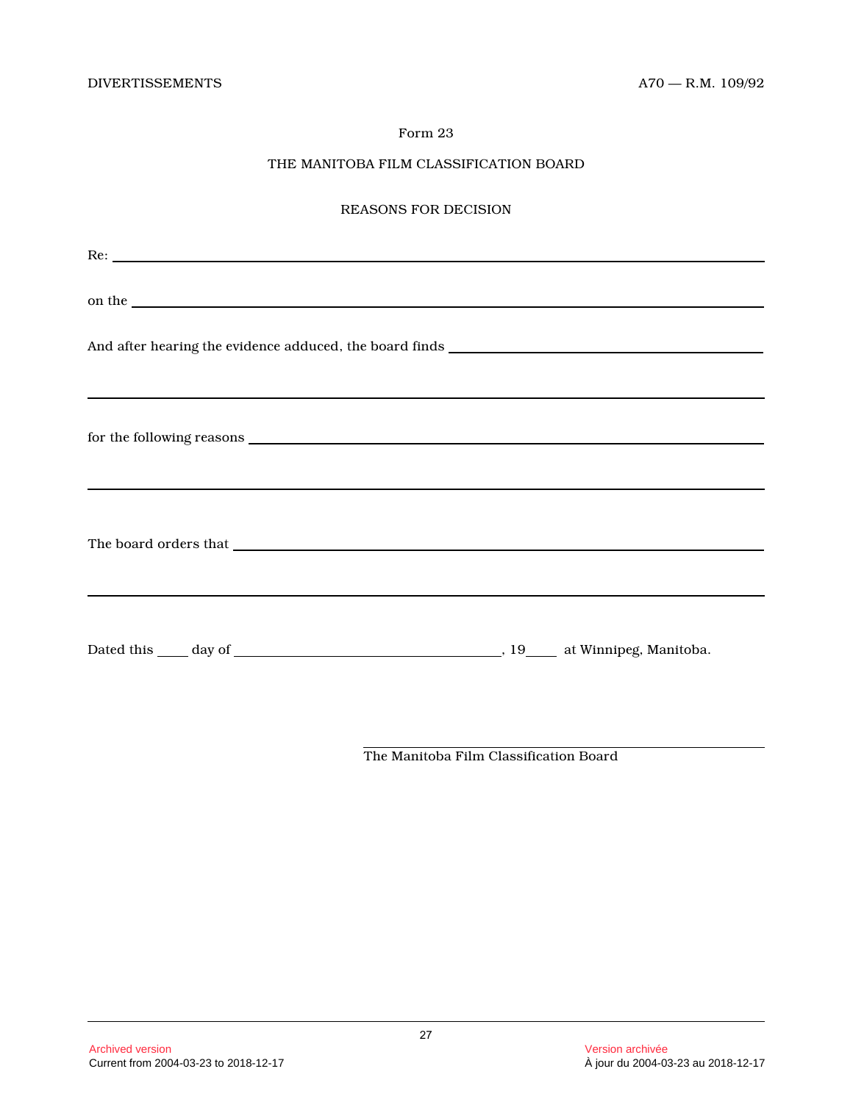# THE MANITOBA FILM CLASSIFICATION BOARD

# REASONS FOR DECISION

| Re:                                                                                                                                                                                                                            |  |
|--------------------------------------------------------------------------------------------------------------------------------------------------------------------------------------------------------------------------------|--|
| on the set of the set of the set of the set of the set of the set of the set of the set of the set of the set of the set of the set of the set of the set of the set of the set of the set of the set of the set of the set of |  |
|                                                                                                                                                                                                                                |  |
| ,我们也不会有什么。""我们的人,我们也不会有什么?""我们的人,我们也不会有什么?""我们的人,我们也不会有什么?""我们的人,我们也不会有什么?""我们的人                                                                                                                                               |  |
|                                                                                                                                                                                                                                |  |
| <u> 1989 - Andrea San Andrea San Andrea San Andrea San Andrea San Andrea San Andrea San Andrea San Andrea San Andr</u>                                                                                                         |  |
|                                                                                                                                                                                                                                |  |
|                                                                                                                                                                                                                                |  |
|                                                                                                                                                                                                                                |  |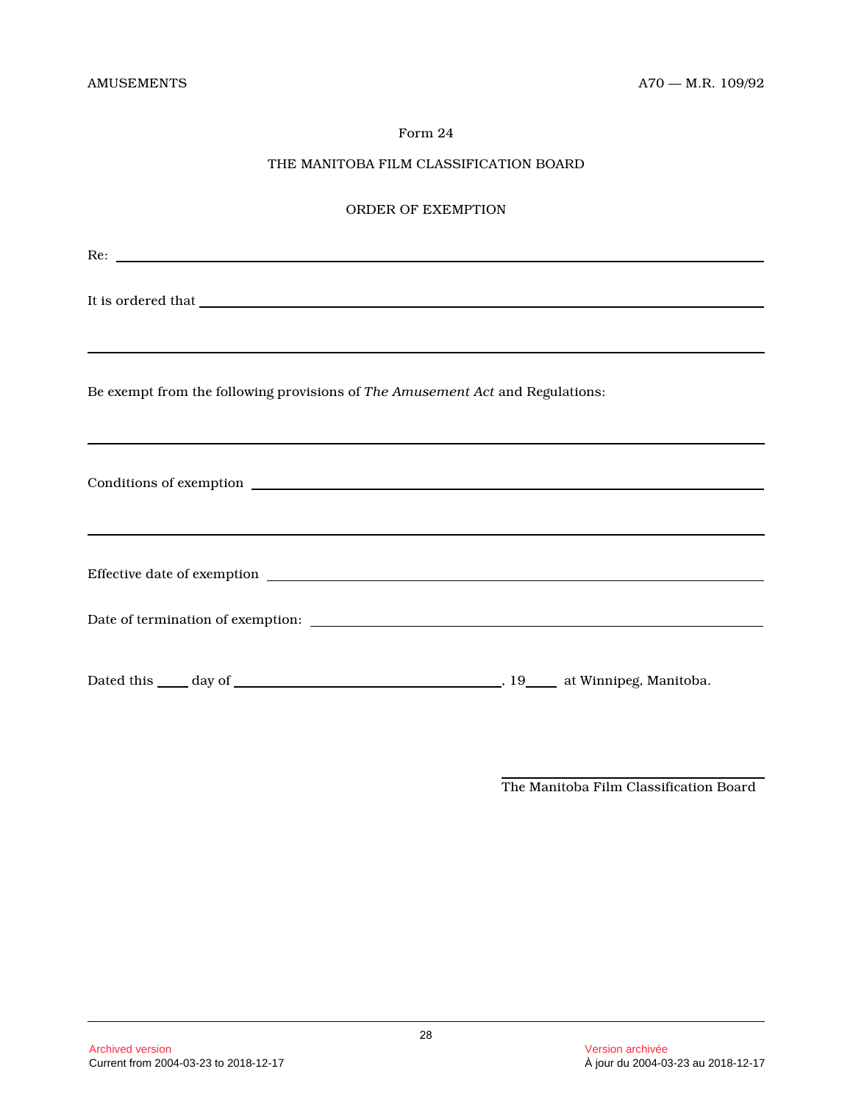# THE MANITOBA FILM CLASSIFICATION BOARD

# ORDER OF EXEMPTION

| It is ordered that <b>the contract of the contract of the contract of the contract of the contract of the contract of the contract of the contract of the contract of the contract of the contract of the contract of the contra</b> |
|--------------------------------------------------------------------------------------------------------------------------------------------------------------------------------------------------------------------------------------|
| Be exempt from the following provisions of The Amusement Act and Regulations:<br>,我们也不会有什么。""我们的人,我们也不会有什么?""我们的人,我们也不会有什么?""我们的人,我们也不会有什么?""我们的人,我们也不会有什么?""我们的人                                                                    |
| <u> 2002 - Jan Barristo, Amerikaansk politiker (d. 1888)</u>                                                                                                                                                                         |
|                                                                                                                                                                                                                                      |
|                                                                                                                                                                                                                                      |
|                                                                                                                                                                                                                                      |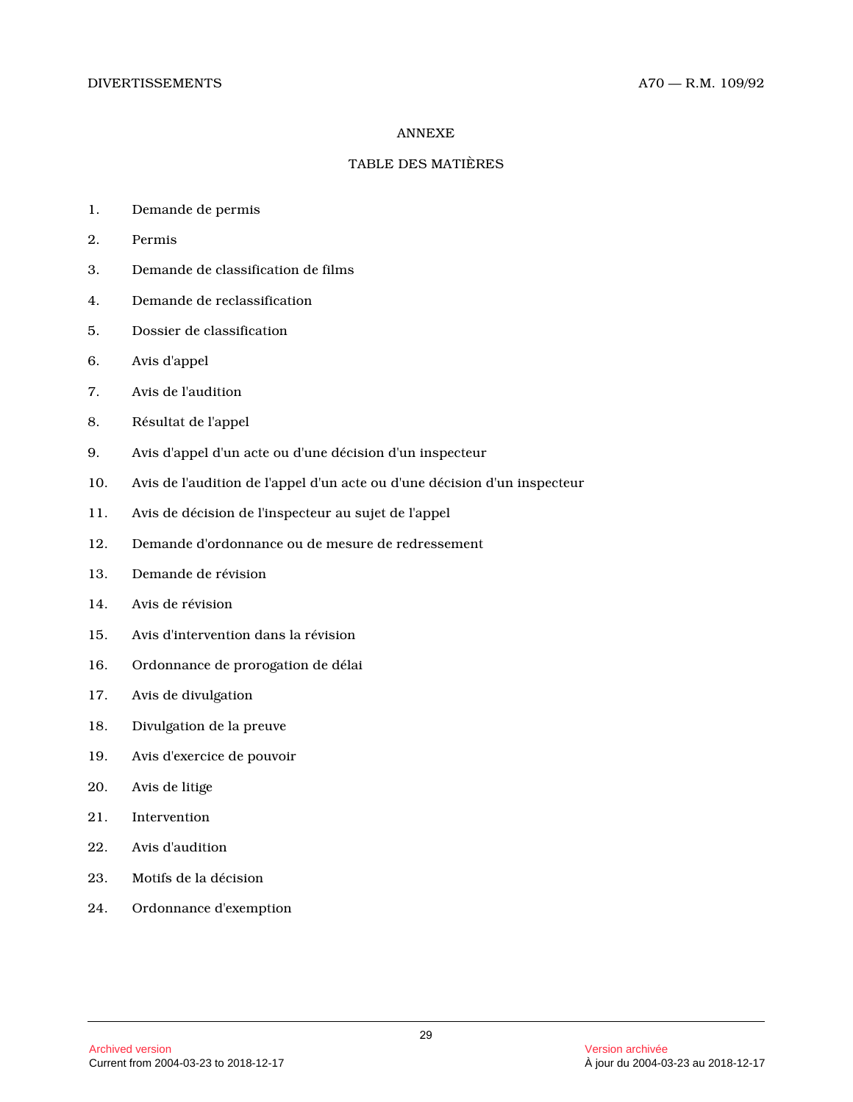#### ANNEXE

#### TABLE DES MATIÈRES

- 1. Demande de permis
- 2. Permis
- 3. Demande de classification de films
- 4. Demande de reclassification
- 5. Dossier de classification
- 6. Avis d'appel
- 7. Avis de l'audition
- 8. Résultat de l'appel
- 9. Avis d'appel d'un acte ou d'une décision d'un inspecteur
- 10. Avis de l'audition de l'appel d'un acte ou d'une décision d'un inspecteur
- 11. Avis de décision de l'inspecteur au sujet de l'appel
- 12. Demande d'ordonnance ou de mesure de redressemen t
- 13. Demande de révision
- 14. Avis de révision
- 15. Avis d'intervention dans la révision
- 16. Ordonnance de prorogation de délai
- 17. Avis de divulgation
- 18. Divulgation de la preuve
- 19. Avis d'exercice de pouvoir
- 20. Avis de litige
- 21. Intervention
- 22. Avis d'audition
- 23. Motifs de la décision
- 24. Ordonnance d'exemption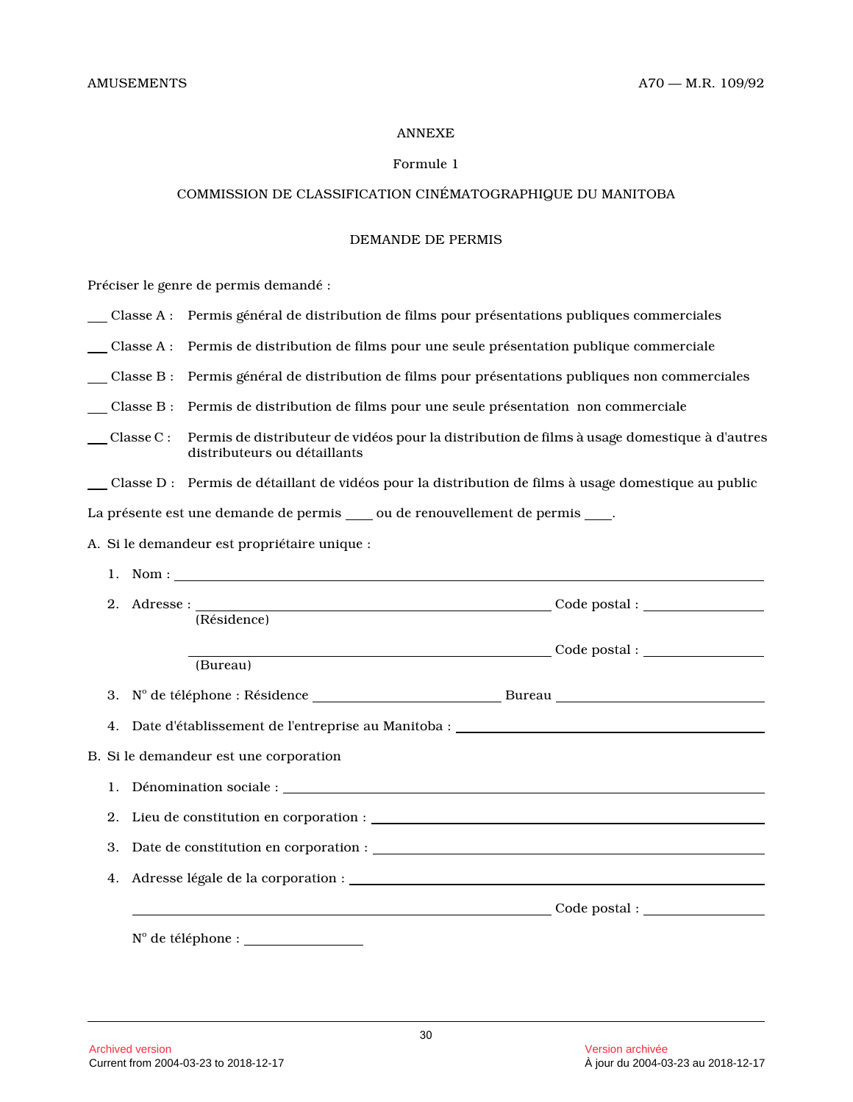#### ANNEXE

# Formule 1

# COMMISSION DE CLASSIFICATION CINÉMATOGRAPHIQUE DU MANITOBA

#### DEMANDE DE PERMIS

Préciser le genre de permis demandé :

|  | Classe A : Permis général de distribution de films pour présentations publiques commerciales |  |  |  |
|--|----------------------------------------------------------------------------------------------|--|--|--|
|  |                                                                                              |  |  |  |

Classe A : Permis de distribution de films pour une seule présentation publique commerciale

Classe B : Permis général de distribution de films pour présentations publiques non commerciales

Classe B : Permis de distribution de films pour une seule présentation non commerciale

- Classe C : Permis de distributeur de vidéos pour la distribution de films à usage domestique à d'autre s distributeurs ou détaillants
- Classe D : Permis de détaillant de vidéos pour la distribution de films à usage domestique au public

La présente est une demande de permis \_\_\_ ou de renouvellement de permis \_\_\_\_.

A. Si le demandeur est propriétaire unique :

| 1. Nom : $\frac{1}{\sqrt{1-\frac{1}{2}}\sqrt{1-\frac{1}{2}}\sqrt{1-\frac{1}{2}}\sqrt{1-\frac{1}{2}}\sqrt{1-\frac{1}{2}}\sqrt{1-\frac{1}{2}}\sqrt{1-\frac{1}{2}}\sqrt{1-\frac{1}{2}}\sqrt{1-\frac{1}{2}}\sqrt{1-\frac{1}{2}}\sqrt{1-\frac{1}{2}}\sqrt{1-\frac{1}{2}}\sqrt{1-\frac{1}{2}}\sqrt{1-\frac{1}{2}}\sqrt{1-\frac{1}{2}}\sqrt{1-\frac{1}{2}}\sqrt{1-\frac{1}{2}}\sqrt{1-\frac{1}{2}}\sqrt{1-\frac{1$ |  |
|-------------------------------------------------------------------------------------------------------------------------------------------------------------------------------------------------------------------------------------------------------------------------------------------------------------------------------------------------------------------------------------------------------------|--|
| (Résidence)                                                                                                                                                                                                                                                                                                                                                                                                 |  |
| (Bureau)                                                                                                                                                                                                                                                                                                                                                                                                    |  |
|                                                                                                                                                                                                                                                                                                                                                                                                             |  |
|                                                                                                                                                                                                                                                                                                                                                                                                             |  |
| B. Si le demandeur est une corporation                                                                                                                                                                                                                                                                                                                                                                      |  |
|                                                                                                                                                                                                                                                                                                                                                                                                             |  |
|                                                                                                                                                                                                                                                                                                                                                                                                             |  |
|                                                                                                                                                                                                                                                                                                                                                                                                             |  |
|                                                                                                                                                                                                                                                                                                                                                                                                             |  |
|                                                                                                                                                                                                                                                                                                                                                                                                             |  |
| $N^{\circ}$ de téléphone : $\sqrt{N^{\circ}N^{\circ}}$                                                                                                                                                                                                                                                                                                                                                      |  |
|                                                                                                                                                                                                                                                                                                                                                                                                             |  |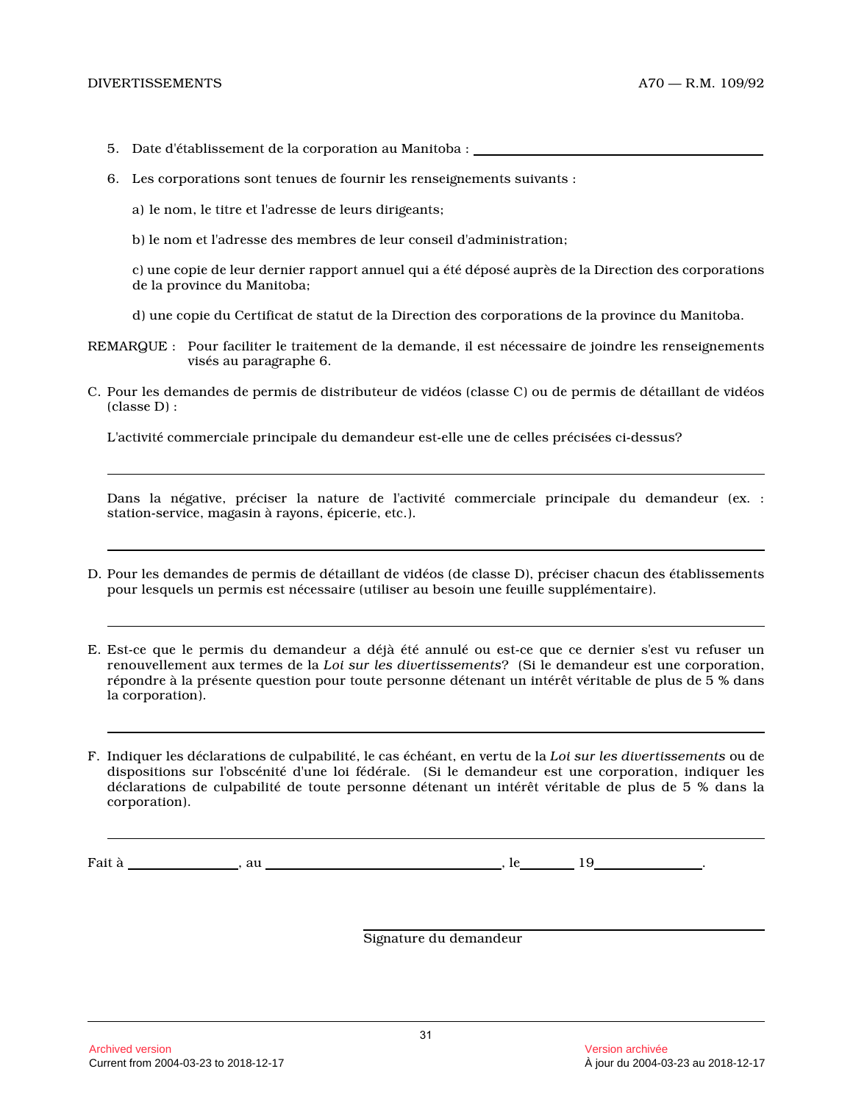- 5. Date d'établissement de la corporation au Manitoba :
- 6. Les corporations sont tenues de fournir les renseignements suivants :
	- a) le nom, le titre et l'adresse de leurs dirigeants ;
	- b) le nom et l'adresse des membres de leur conseil d'administration;

c) une copie de leur dernier rapport annuel qui a été déposé auprès de la Direction des corporations de la province du Manitoba;

d) une copie du Certificat de statut de la Direction des corporations de la province du Manitoba.

REMARQUE : Pour faciliter le traitement de la demande, il est nécessaire de joindre les renseignements visés au paragraphe 6.

C. Pour les demandes de permis de distributeur de vidéos (classe C) ou de permis de détaillant de vidéo s (classe D) :

L'activité commerciale principale du demandeur est-elle une de celles précisées ci-dessus?

Dans la négative, préciser la nature de l'activité commerciale principale du demandeur (ex. : station-service, magasin à rayons, épicerie, etc.).

D. Pour les demandes de permis de détaillant de vidéos (de classe D), préciser chacun des établissement s pour lesquels un permis est nécessaire (utiliser au besoin une feuille supplémentaire).

E. Est-ce que le permis du demandeur a déjà été annulé ou est-ce que ce dernier s'est vu refuser un renouvellement aux termes de la *Loi sur les divertissements*? (Si le demandeur est une corporation, répondre à la présente question pour toute personne détenant un intérêt véritable de plus de 5 % dans la corporation).

F. Indiquer les déclarations de culpabilité, le cas échéant, en vertu de la *Loi sur les divertissements* ou de dispositions sur l'obscénité d'une loi fédérale. (Si le demandeur est une corporation, indiquer les déclarations de culpabilité de toute personne détenant un intérêt véritable de plus de 5 % dans la corporation).

Fait à , au , le 19 .

Signature du demandeur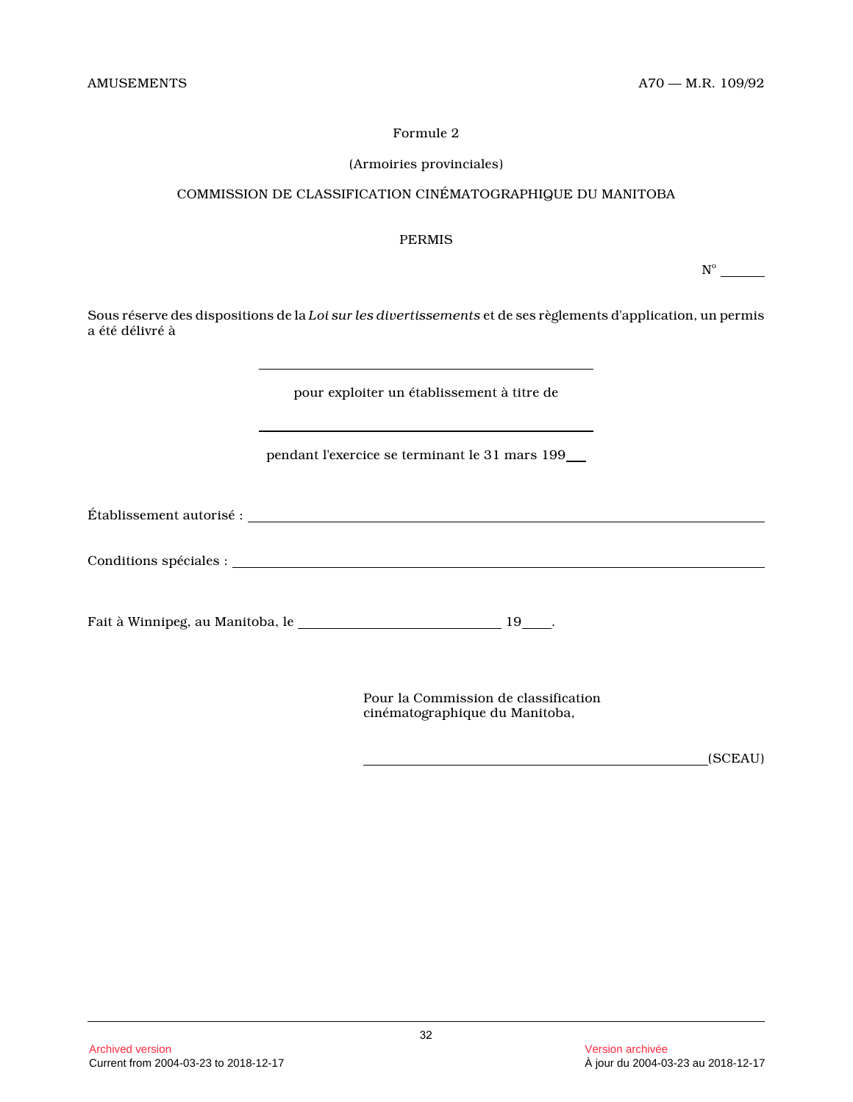#### (Armoiries provinciales)

# COMMISSION DE CLASSIFICATION CINÉMATOGRAPHIQUE DU MANITOBA

#### PERMIS

 $N^{\circ}$ 

Sous réserve des dispositions de la *Loi sur les divertissements* et de ses règlements d'application, un permis a été délivré à

pour exploiter un établissement à titre de

pendant l'exercice se terminant le 31 mars 199

Établissement autorisé :

Conditions spéciales :

Fait à Winnipeg, au Manitoba, le \_\_\_\_\_\_\_\_\_\_\_\_\_\_\_\_\_\_\_\_\_\_\_\_\_\_\_\_\_\_\_\_\_ 19\_\_\_\_.

Pour la Commission de classification cinématographique du Manitoba,

(SCEAU)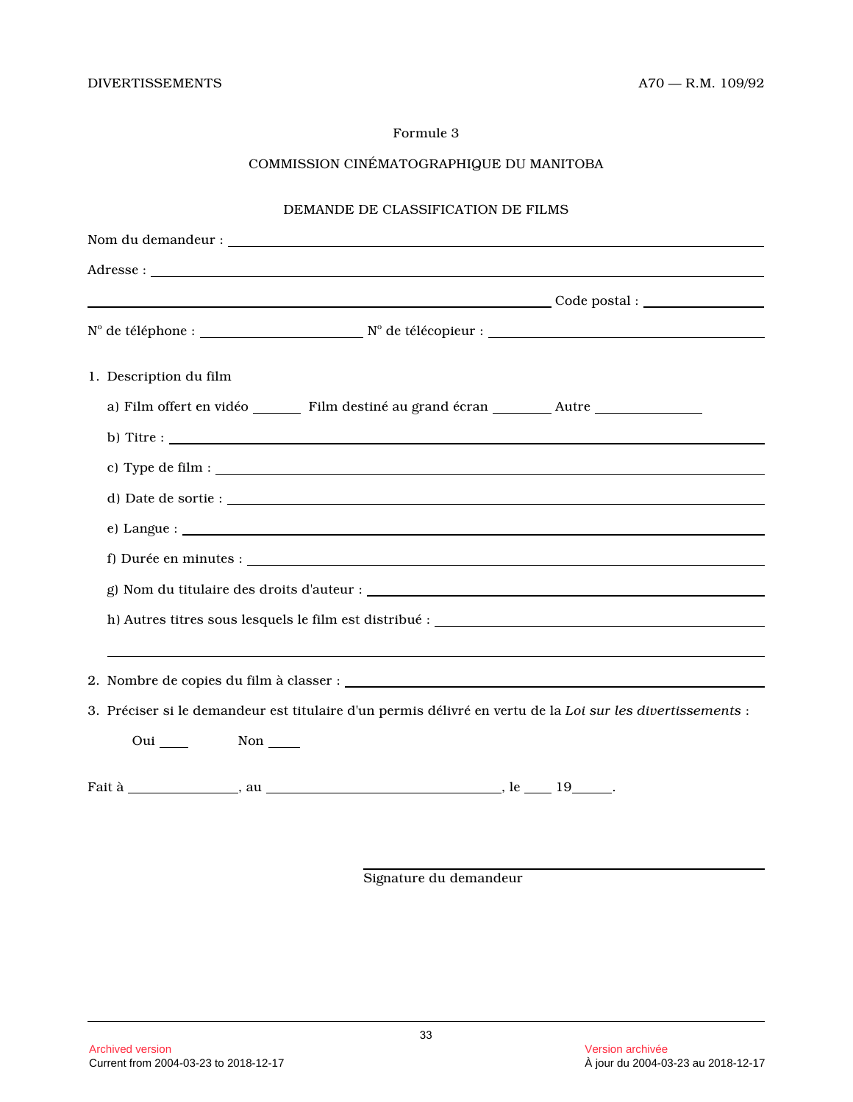# COMMISSION CINÉMATOGRAPHIQUE DU MANITOBA

# DEMANDE DE CLASSIFICATION DE FILMS

| $N^{\circ}$ de téléphone : $N^{\circ}$ de télécopieur : $\frac{N^{\circ}}{N}$ de télécopieur : $\frac{N^{\circ}}{N}$ |  |
|----------------------------------------------------------------------------------------------------------------------|--|
| 1. Description du film                                                                                               |  |
|                                                                                                                      |  |
|                                                                                                                      |  |
|                                                                                                                      |  |
|                                                                                                                      |  |
| $e)$ Langue: $\qquad \qquad$                                                                                         |  |
|                                                                                                                      |  |
|                                                                                                                      |  |
|                                                                                                                      |  |
|                                                                                                                      |  |
|                                                                                                                      |  |
| 3. Préciser si le demandeur est titulaire d'un permis délivré en vertu de la Loi sur les divertissements :           |  |
| Oui Non                                                                                                              |  |
|                                                                                                                      |  |

Signature du demandeur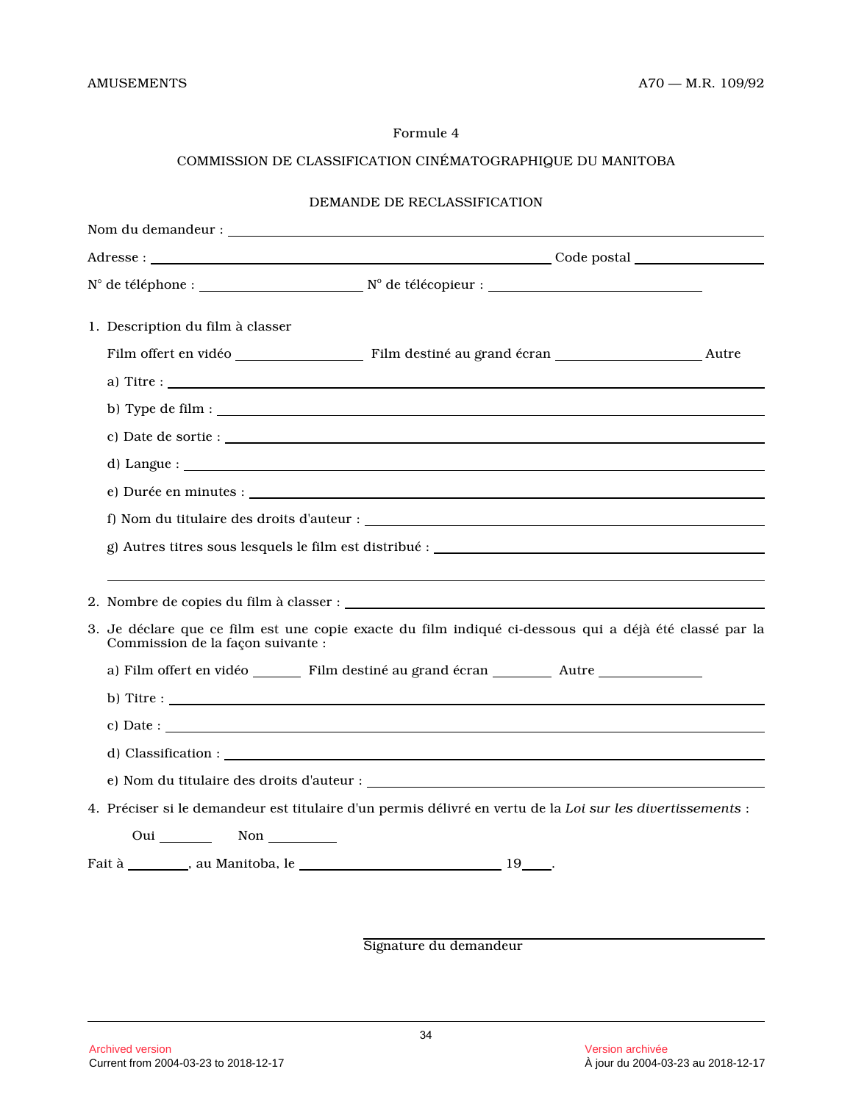# COMMISSION DE CLASSIFICATION CINÉMATOGRAPHIQUE DU MANITOBA

| $N^{\circ}$ de téléphone : $N^{\circ}$ de télécopieur :                                                                                                                                                                                                                                                                                     |  |
|---------------------------------------------------------------------------------------------------------------------------------------------------------------------------------------------------------------------------------------------------------------------------------------------------------------------------------------------|--|
| 1. Description du film à classer                                                                                                                                                                                                                                                                                                            |  |
|                                                                                                                                                                                                                                                                                                                                             |  |
|                                                                                                                                                                                                                                                                                                                                             |  |
|                                                                                                                                                                                                                                                                                                                                             |  |
|                                                                                                                                                                                                                                                                                                                                             |  |
|                                                                                                                                                                                                                                                                                                                                             |  |
|                                                                                                                                                                                                                                                                                                                                             |  |
|                                                                                                                                                                                                                                                                                                                                             |  |
|                                                                                                                                                                                                                                                                                                                                             |  |
|                                                                                                                                                                                                                                                                                                                                             |  |
|                                                                                                                                                                                                                                                                                                                                             |  |
| 3. Je déclare que ce film est une copie exacte du film indiqué ci-dessous qui a déjà été classé par la<br>Commission de la façon suivante :                                                                                                                                                                                                 |  |
|                                                                                                                                                                                                                                                                                                                                             |  |
| b) Titre : $\frac{1}{\sqrt{1-\frac{1}{2}}\left(\frac{1}{2}-\frac{1}{2}\right)}$                                                                                                                                                                                                                                                             |  |
| c) Date : $\qquad \qquad$ $\qquad$ $\qquad$ $\qquad$ $\qquad$ $\qquad$ $\qquad$ $\qquad$ $\qquad$ $\qquad$ $\qquad$ $\qquad$ $\qquad$ $\qquad$ $\qquad$ $\qquad$ $\qquad$ $\qquad$ $\qquad$ $\qquad$ $\qquad$ $\qquad$ $\qquad$ $\qquad$ $\qquad$ $\qquad$ $\qquad$ $\qquad$ $\qquad$ $\qquad$ $\qquad$ $\qquad$ $\qquad$ $\qquad$ $\qquad$ |  |
|                                                                                                                                                                                                                                                                                                                                             |  |
|                                                                                                                                                                                                                                                                                                                                             |  |
| 4. Préciser si le demandeur est titulaire d'un permis délivré en vertu de la Loi sur les divertissements :                                                                                                                                                                                                                                  |  |
| Oui Non                                                                                                                                                                                                                                                                                                                                     |  |
|                                                                                                                                                                                                                                                                                                                                             |  |

Signature du demandeur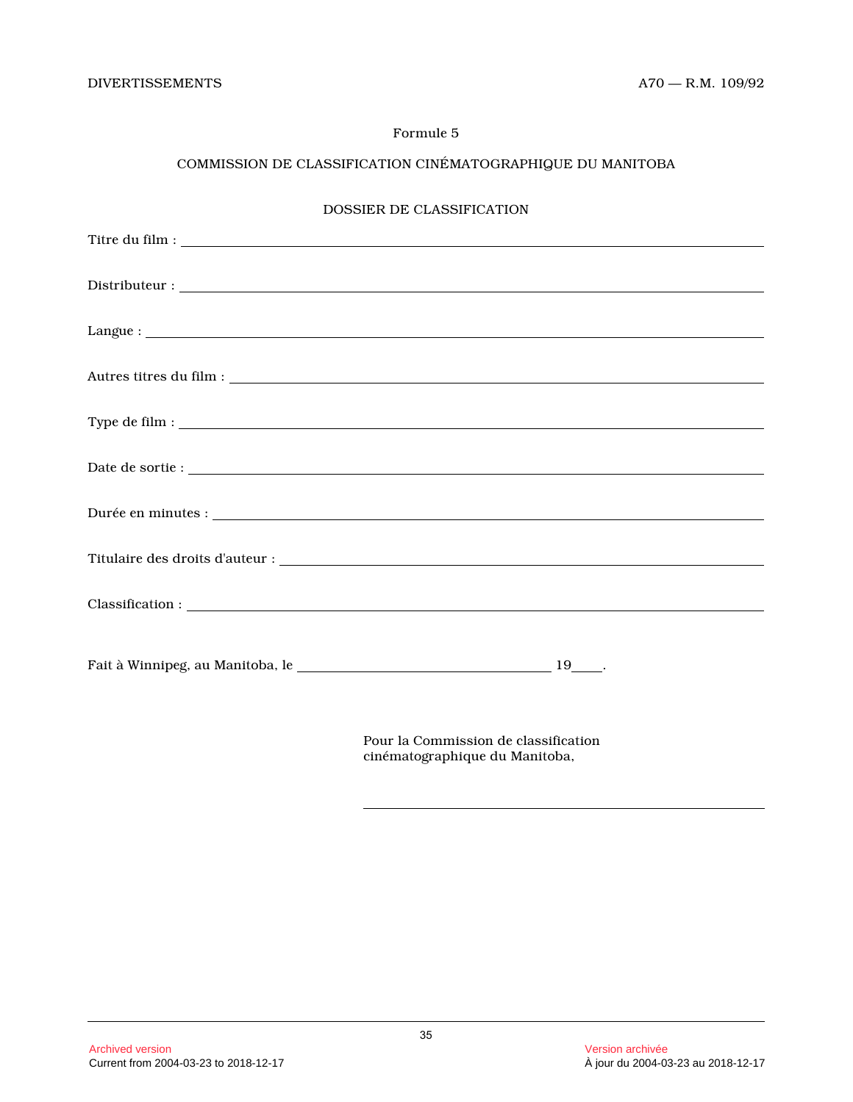# COMMISSION DE CLASSIFICATION CINÉMATOGRAPHIQUE DU MANITOBA

| <b>DOSSIER DE CLASSIFICATION</b> |  |  |  |  |
|----------------------------------|--|--|--|--|
|                                  |  |  |  |  |
|                                  |  |  |  |  |
|                                  |  |  |  |  |
|                                  |  |  |  |  |
|                                  |  |  |  |  |
|                                  |  |  |  |  |
|                                  |  |  |  |  |
|                                  |  |  |  |  |
|                                  |  |  |  |  |
|                                  |  |  |  |  |
|                                  |  |  |  |  |
|                                  |  |  |  |  |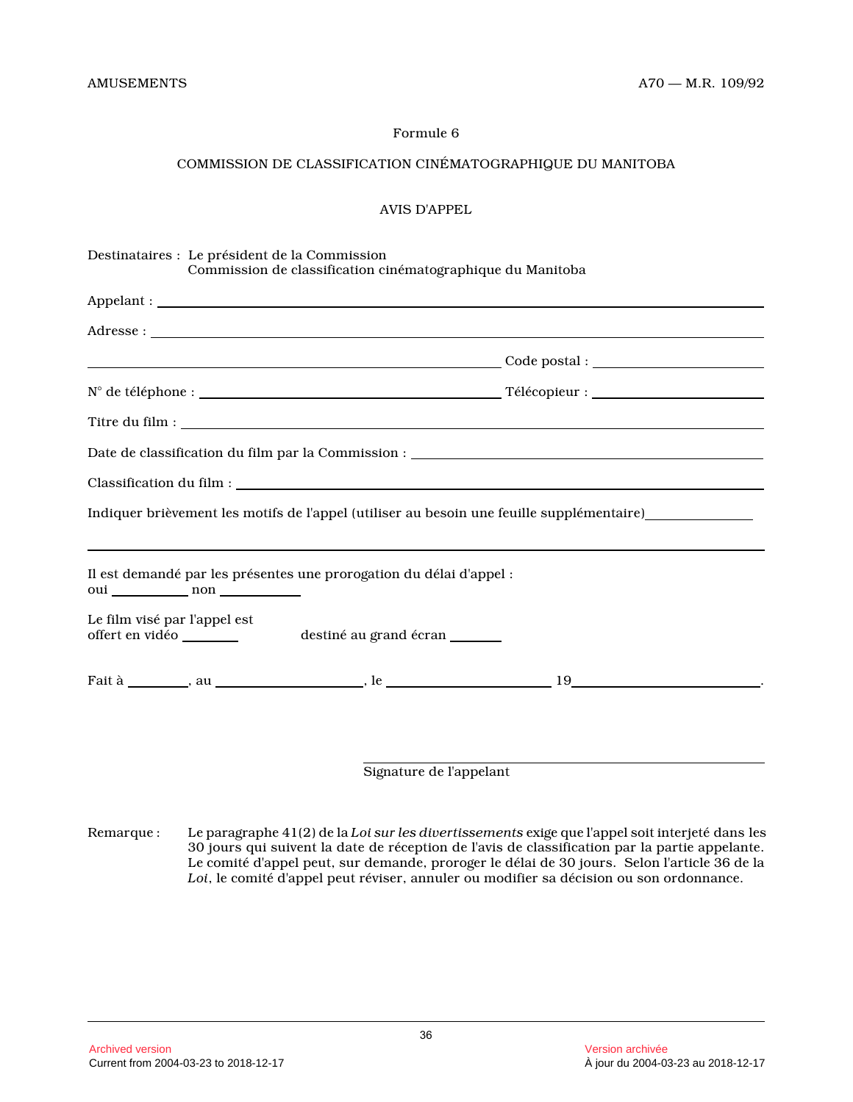# COMMISSION DE CLASSIFICATION CINÉMATOGRAPHIQUE DU MANITOBA

#### AVIS D'APPEL

| Destinataires : Le président de la Commission<br>Commission de classification cinématographique du Manitoba |                                                                                                                                                                          |
|-------------------------------------------------------------------------------------------------------------|--------------------------------------------------------------------------------------------------------------------------------------------------------------------------|
|                                                                                                             |                                                                                                                                                                          |
|                                                                                                             |                                                                                                                                                                          |
|                                                                                                             |                                                                                                                                                                          |
|                                                                                                             |                                                                                                                                                                          |
|                                                                                                             |                                                                                                                                                                          |
|                                                                                                             |                                                                                                                                                                          |
|                                                                                                             |                                                                                                                                                                          |
|                                                                                                             | Indiquer brièvement les motifs de l'appel (utiliser au besoin une feuille supplémentaire)<br>entre les motifs de l'appel (utiliser au besoin une feuille supplémentaire) |
| Il est demandé par les présentes une prorogation du délai d'appel :                                         |                                                                                                                                                                          |
| Le film visé par l'appel est                                                                                |                                                                                                                                                                          |
|                                                                                                             |                                                                                                                                                                          |
|                                                                                                             |                                                                                                                                                                          |
|                                                                                                             |                                                                                                                                                                          |

Signature de l'appelant

Remarque : Le paragraphe 41(2) de la *Loi sur les divertissements* exige que l'appel soit interjeté dans les 30 jours qui suivent la date de réception de l'avis de classification par la partie appelante. Le comité d'appel peut, sur demande, proroger le délai de 30 jours. Selon l'article 36 de la *Loi*, le comité d'appel peut réviser, annuler ou modifier sa décision ou son ordonnance.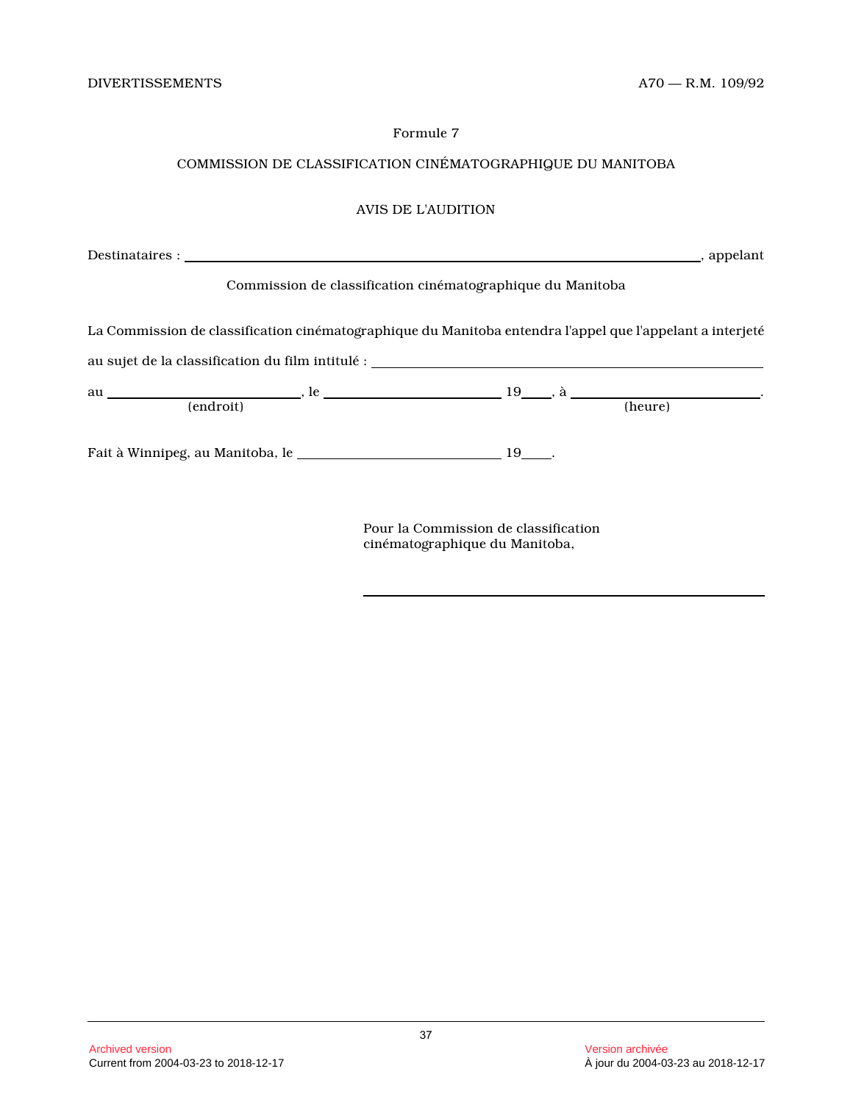# COMMISSION DE CLASSIFICATION CINÉMATOGRAPHIQUE DU MANITOBA

# AVIS DE L'AUDITION

|                                                                                                           |                                                            | ________, appelant |
|-----------------------------------------------------------------------------------------------------------|------------------------------------------------------------|--------------------|
|                                                                                                           | Commission de classification cinématographique du Manitoba |                    |
| La Commission de classification cinématographique du Manitoba entendra l'appel que l'appelant a interjeté |                                                            |                    |
|                                                                                                           |                                                            |                    |
|                                                                                                           |                                                            |                    |
| (endroit)                                                                                                 |                                                            | (heure)            |
|                                                                                                           |                                                            |                    |
|                                                                                                           |                                                            |                    |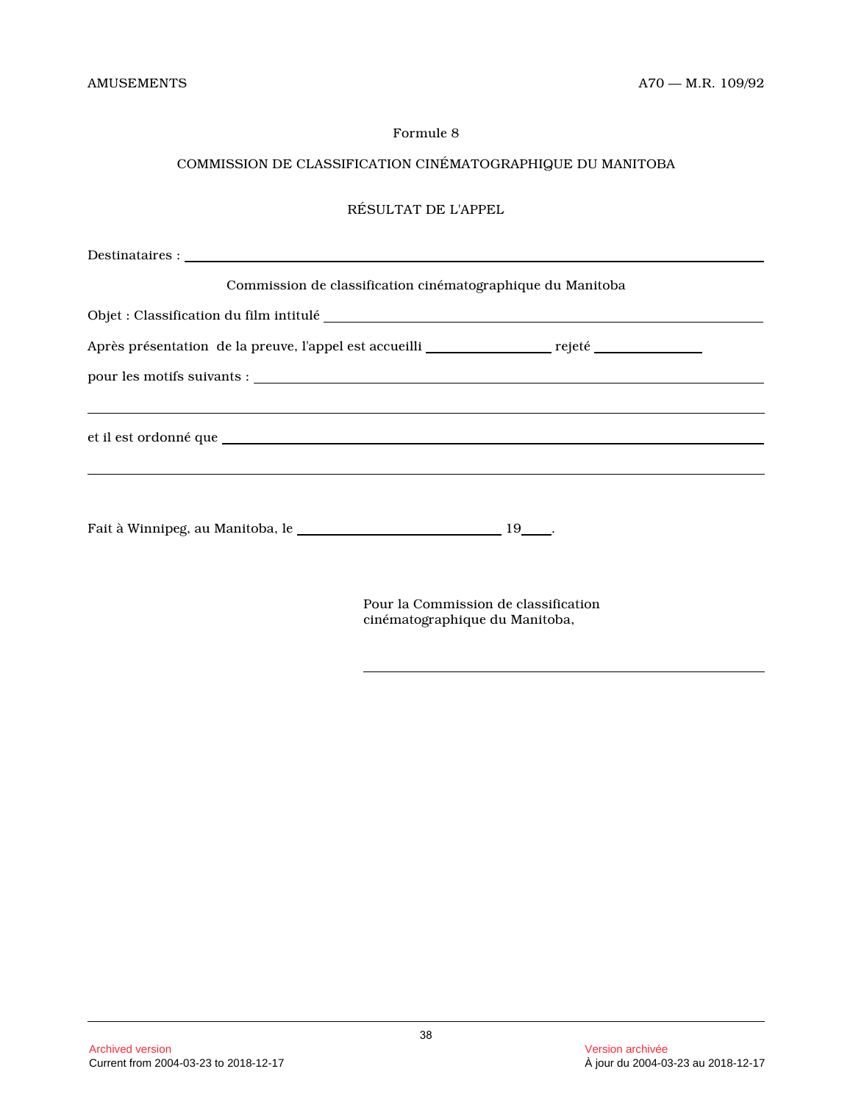# COMMISSION DE CLASSIFICATION CINÉMATOGRAPHIQUE DU MANITOBA

# RÉSULTAT DE L'APPEL

| Commission de classification cinématographique du Manitoba |  |
|------------------------------------------------------------|--|
|                                                            |  |
|                                                            |  |
|                                                            |  |
|                                                            |  |
|                                                            |  |
|                                                            |  |
|                                                            |  |
|                                                            |  |
|                                                            |  |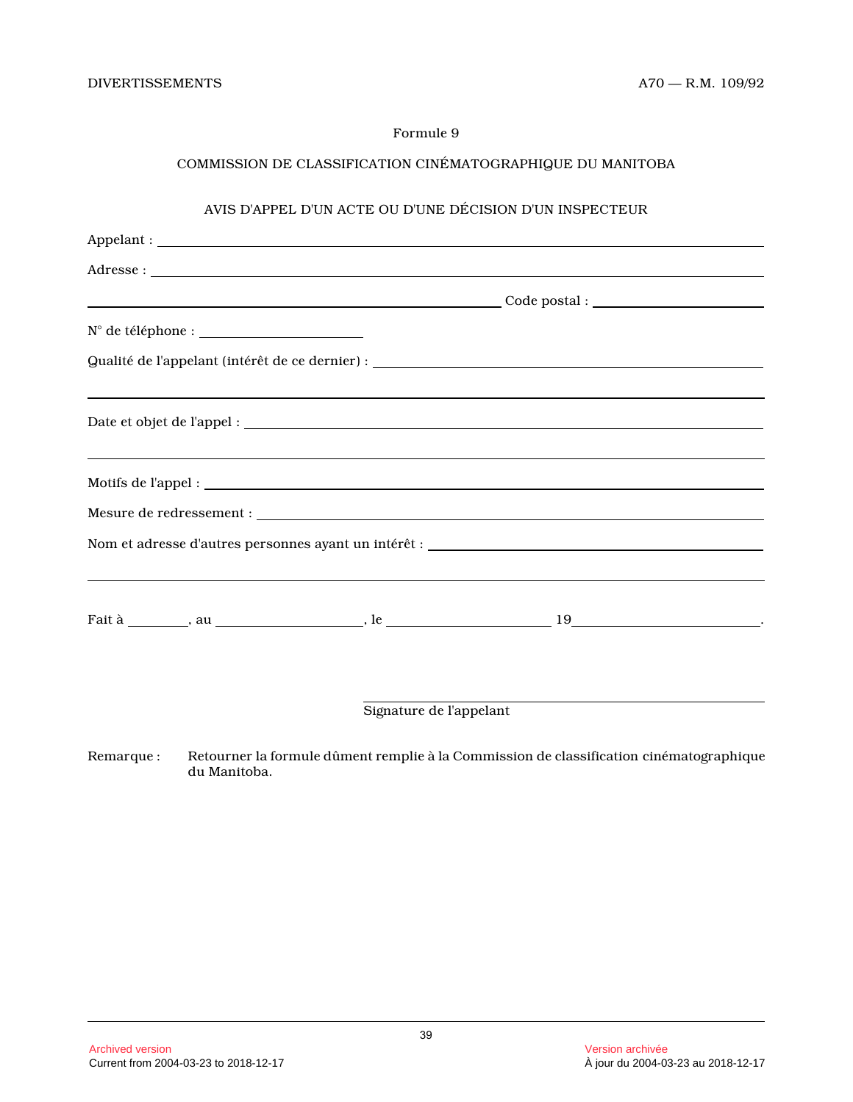# COMMISSION DE CLASSIFICATION CINÉMATOGRAPHIQUE DU MANITOBA

# AVIS D'APPEL D'UN ACTE OU D'UNE DÉCISION D'UN INSPECTEUR

| $N^{\circ} \text{ de téléphone}: \underline{\hspace{2.5cm} \underline{\hspace{2.5cm}}\hspace{2.5cm}}\hspace{2.5cm} \underline{\hspace{2.5cm}}\hspace{2.5cm}}$ |                                                                                  |  |
|---------------------------------------------------------------------------------------------------------------------------------------------------------------|----------------------------------------------------------------------------------|--|
| Qualité de l'appelant (intérêt de ce dernier) : ________________________________                                                                              |                                                                                  |  |
| <u> 1989 - Andrea Santa Andrea Santa Andrea Santa Andrea Santa Andrea Santa Andrea Santa Andrea Santa Andrea San</u>                                          |                                                                                  |  |
|                                                                                                                                                               |                                                                                  |  |
|                                                                                                                                                               |                                                                                  |  |
|                                                                                                                                                               | ,我们也不会有什么?""我们的人,我们也不会有什么?""我们的人,我们也不会有什么?""我们的人,我们也不会有什么?""我们的人,我们也不会有什么?""我们的人 |  |
|                                                                                                                                                               |                                                                                  |  |
|                                                                                                                                                               |                                                                                  |  |

Signature de l'appelant

Remarque : Retourner la formule dûment remplie à la Commission de classification cinématographique du Manitoba.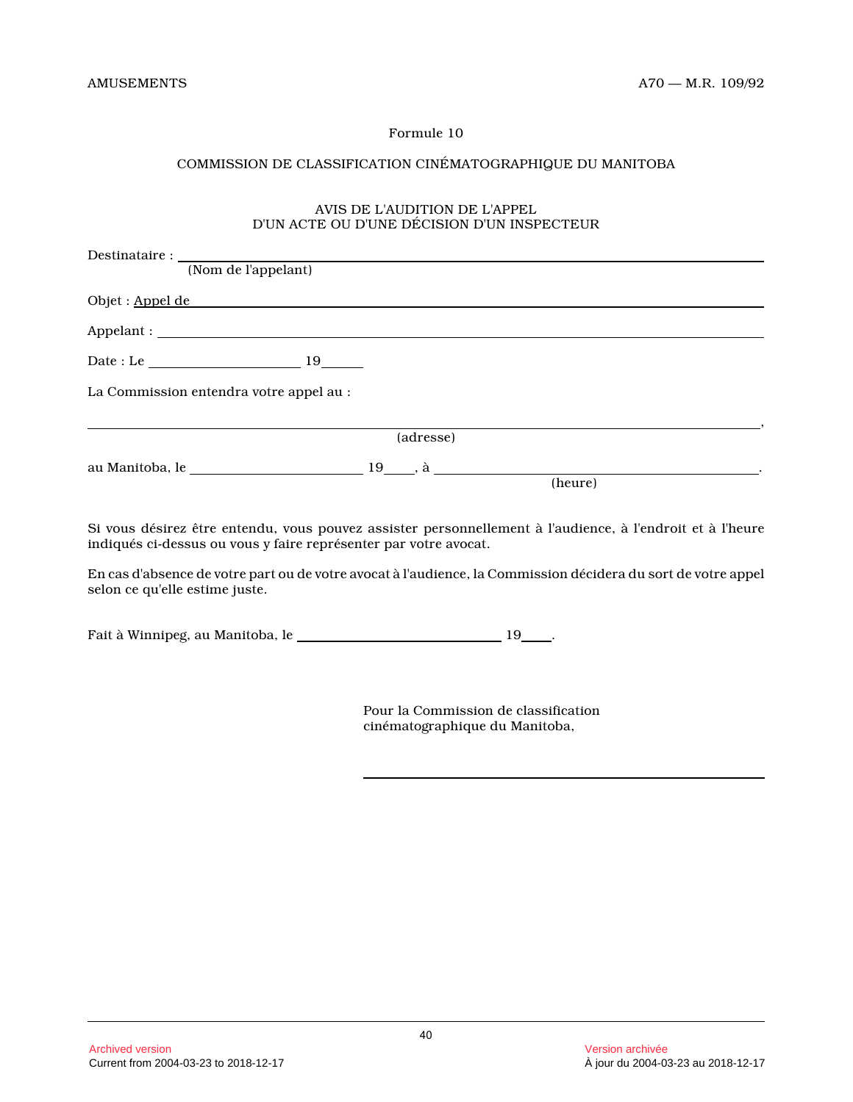# COMMISSION DE CLASSIFICATION CINÉMATOGRAPHIQUE DU MANITOBA

# AVIS DE L'AUDITION DE L'APPEL D'UN ACTE OU D'UNE DÉCISION D'UN INSPECTEUR

| (Nom de l'appelant)                                                                                                                                                                                                                  |           |         |
|--------------------------------------------------------------------------------------------------------------------------------------------------------------------------------------------------------------------------------------|-----------|---------|
| Objet : <u>Appel de versus and the set of the set of the set of the set of the set of the set of the set of the set of the set of the set of the set of the set of the set of the set of the set of the set of the set of the se</u> |           |         |
|                                                                                                                                                                                                                                      |           |         |
|                                                                                                                                                                                                                                      |           |         |
| La Commission entendra votre appel au :                                                                                                                                                                                              |           |         |
|                                                                                                                                                                                                                                      | (adresse) |         |
|                                                                                                                                                                                                                                      |           | (heure) |
|                                                                                                                                                                                                                                      |           |         |

Si vous désirez être entendu, vous pouvez assister personnellement à l'audience, à l'endroit et à l'heure indiqués ci-dessus ou vous y faire représenter par votre avocat.

En cas d'absence de votre part ou de votre avocat à l'audience, la Commission décidera du sort de votre appel selon ce qu'elle estime juste.

Fait à Winnipeg, au Manitoba, le \_\_\_\_\_\_\_\_\_\_\_\_\_\_\_\_\_\_\_\_\_\_\_\_\_\_\_\_\_\_\_\_\_\_ 19\_\_\_\_.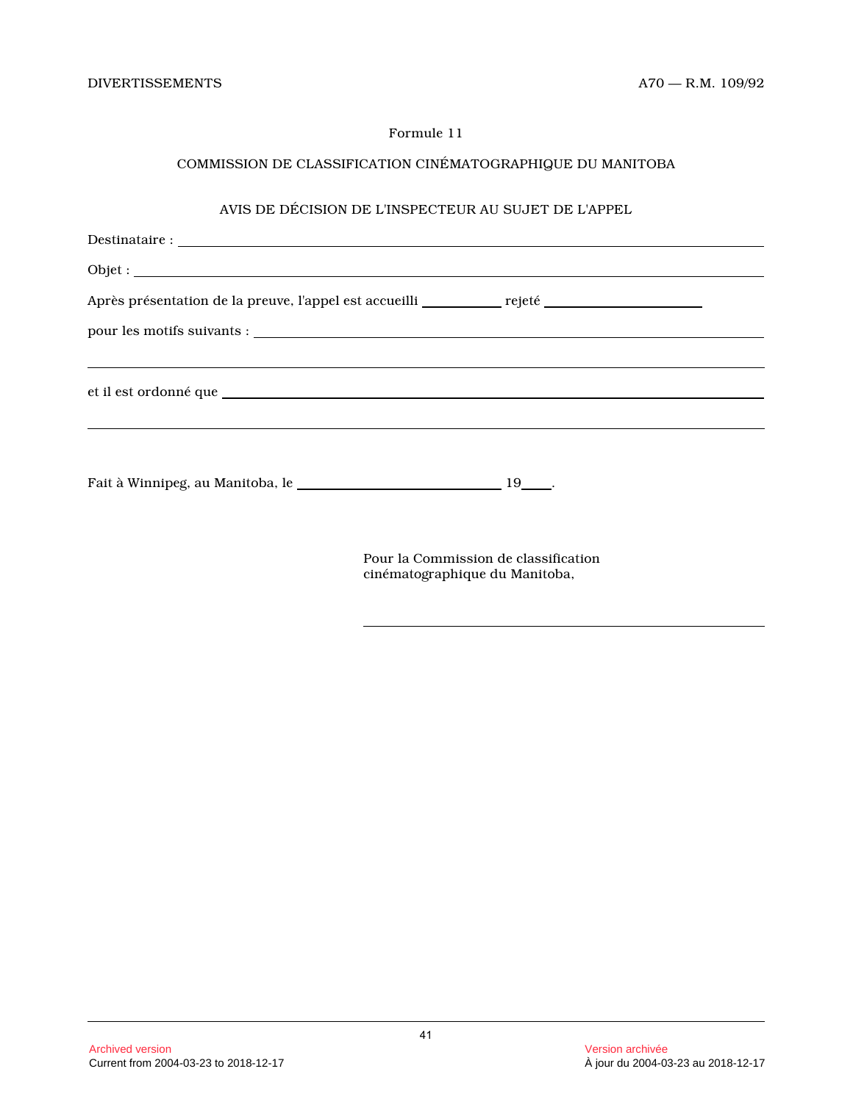# COMMISSION DE CLASSIFICATION CINÉMATOGRAPHIQUE DU MANITOBA

# AVIS DE DÉCISION DE L'INSPECTEUR AU SUJET DE L'APPE L

| Après présentation de la preuve, l'appel est accueilli ___________ rejeté _________________________ |  |
|-----------------------------------------------------------------------------------------------------|--|
|                                                                                                     |  |
|                                                                                                     |  |
|                                                                                                     |  |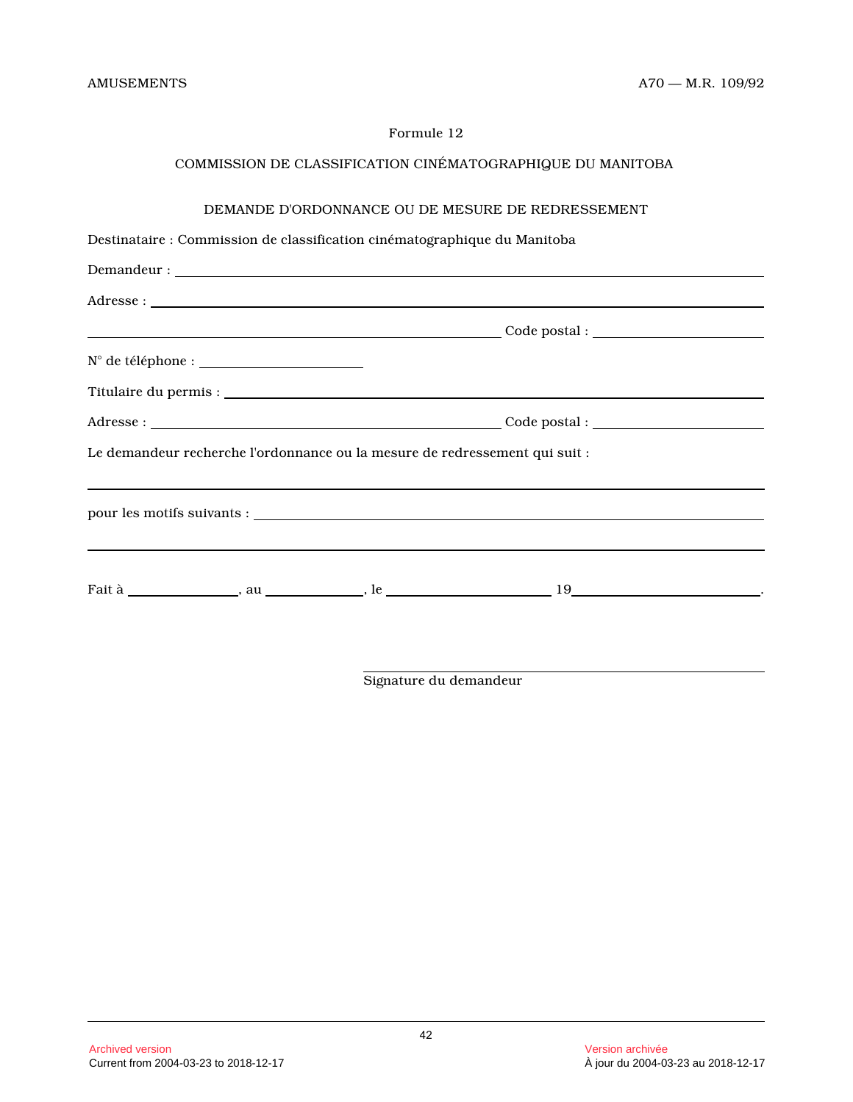# COMMISSION DE CLASSIFICATION CINÉMATOGRAPHIQUE DU MANITOBA

# DEMANDE D'ORDONNANCE OU DE MESURE DE REDRESSEMENT

# Destinataire : Commission de classification cinématographique du Manitoba

| Le demandeur recherche l'ordonnance ou la mesure de redressement qui suit : |  |
|-----------------------------------------------------------------------------|--|
|                                                                             |  |
|                                                                             |  |

Signature du demandeur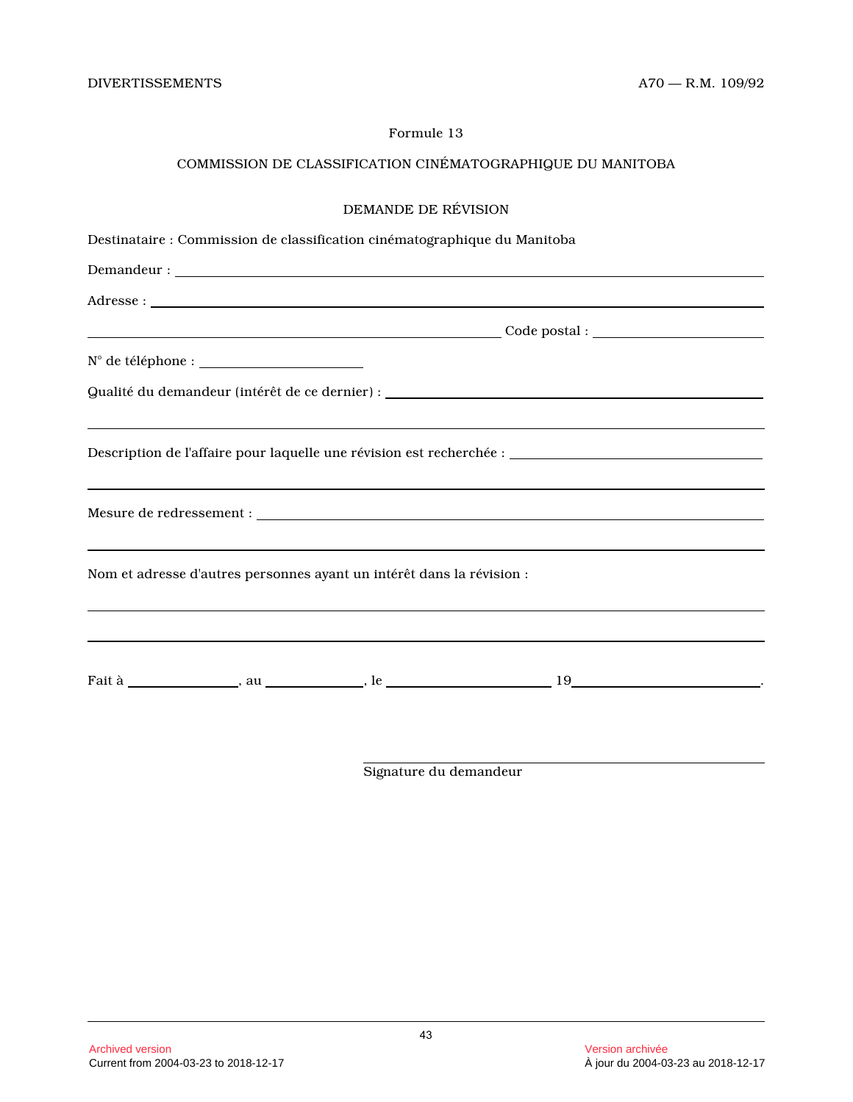# COMMISSION DE CLASSIFICATION CINÉMATOGRAPHIQUE DU MANITOBA

# DEMANDE DE RÉVISION

| Destinataire : Commission de classification cinématographique du Manitoba                                                              |  |
|----------------------------------------------------------------------------------------------------------------------------------------|--|
|                                                                                                                                        |  |
|                                                                                                                                        |  |
|                                                                                                                                        |  |
|                                                                                                                                        |  |
| Qualité du demandeur (intérêt de ce dernier) : __________________________________                                                      |  |
| Description de l'affaire pour laquelle une révision est recherchée : _______________________________                                   |  |
| ,我们也不会有什么?""我们的人,我们也不会有什么?""我们的人,我们也不会有什么?""我们的人,我们也不会有什么?""我们的人,我们也不会有什么?""我们的人                                                       |  |
| <u> 2000 - Andrea Andrewski, amerikansk politik (d. 1982)</u><br>Nom et adresse d'autres personnes ayant un intérêt dans la révision : |  |
|                                                                                                                                        |  |

Signature du demandeur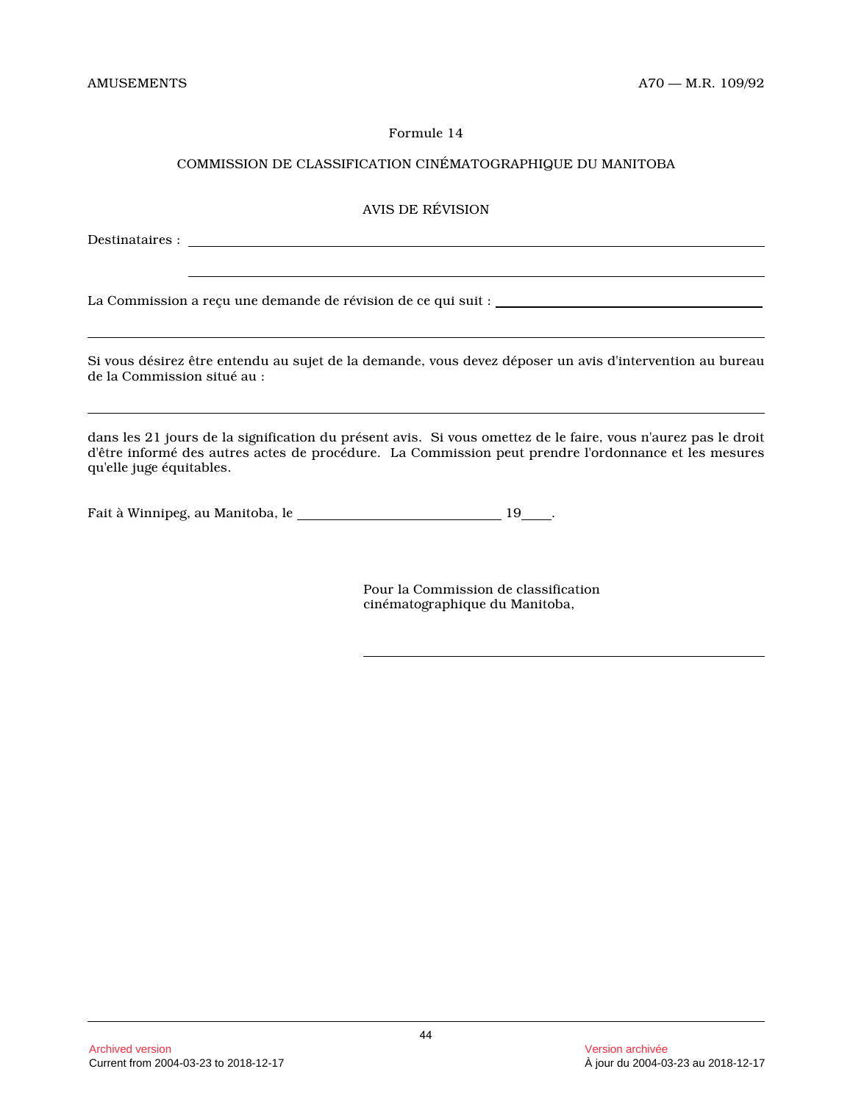# COMMISSION DE CLASSIFICATION CINÉMATOGRAPHIQUE DU MANITOBA

# AVIS DE RÉVISION

Destinataires :

La Commission a reçu une demande de révision de ce qui suit :

Si vous désirez être entendu au sujet de la demande, vous devez déposer un avis d'intervention au bureau de la Commission situé au :

dans les 21 jours de la signification du présent avis. Si vous omettez de le faire, vous n'aurez pas le droit d'être informé des autres actes de procédure. La Commission peut prendre l'ordonnance et les mesures qu'elle juge équitables.

Fait à Winnipeg, au Manitoba, le \_\_\_\_\_\_\_\_\_\_\_\_\_\_\_\_\_\_\_\_\_\_\_\_\_\_\_\_\_\_\_\_\_\_ 19\_\_\_\_.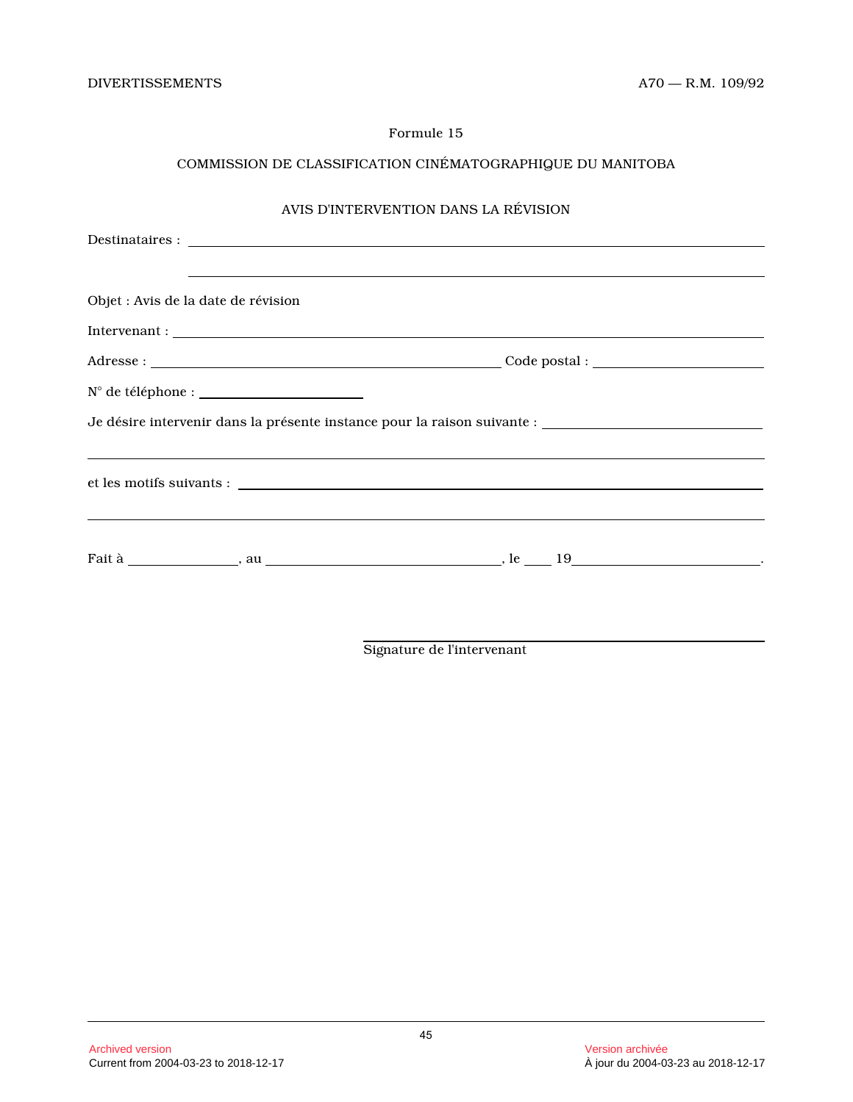# COMMISSION DE CLASSIFICATION CINÉMATOGRAPHIQUE DU MANITOBA

# AVIS D'INTERVENTION DANS LA RÉVISION

| Objet : Avis de la date de révision |                                                                                                                        |  |
|-------------------------------------|------------------------------------------------------------------------------------------------------------------------|--|
|                                     |                                                                                                                        |  |
|                                     |                                                                                                                        |  |
|                                     |                                                                                                                        |  |
|                                     |                                                                                                                        |  |
|                                     | <u> 1999 - Andrea San Aonaichte ann an Comhair ann an Comhair ann an Comhair ann an Comhair ann an Comhair ann an </u> |  |
|                                     |                                                                                                                        |  |

Signature de l'intervenant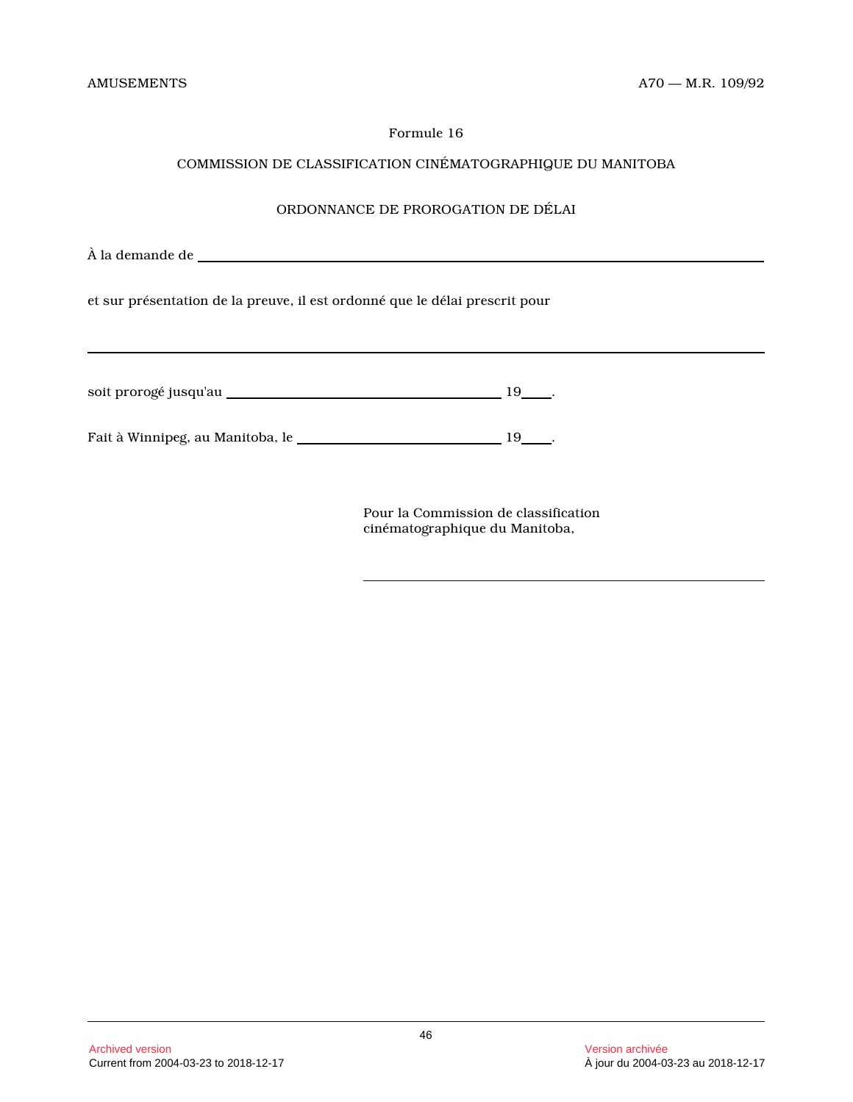# COMMISSION DE CLASSIFICATION CINÉMATOGRAPHIQUE DU MANITOBA

# ORDONNANCE DE PROROGATION DE DÉLAI

| et sur présentation de la preuve, il est ordonné que le délai prescrit pour |  |
|-----------------------------------------------------------------------------|--|
|                                                                             |  |
|                                                                             |  |
|                                                                             |  |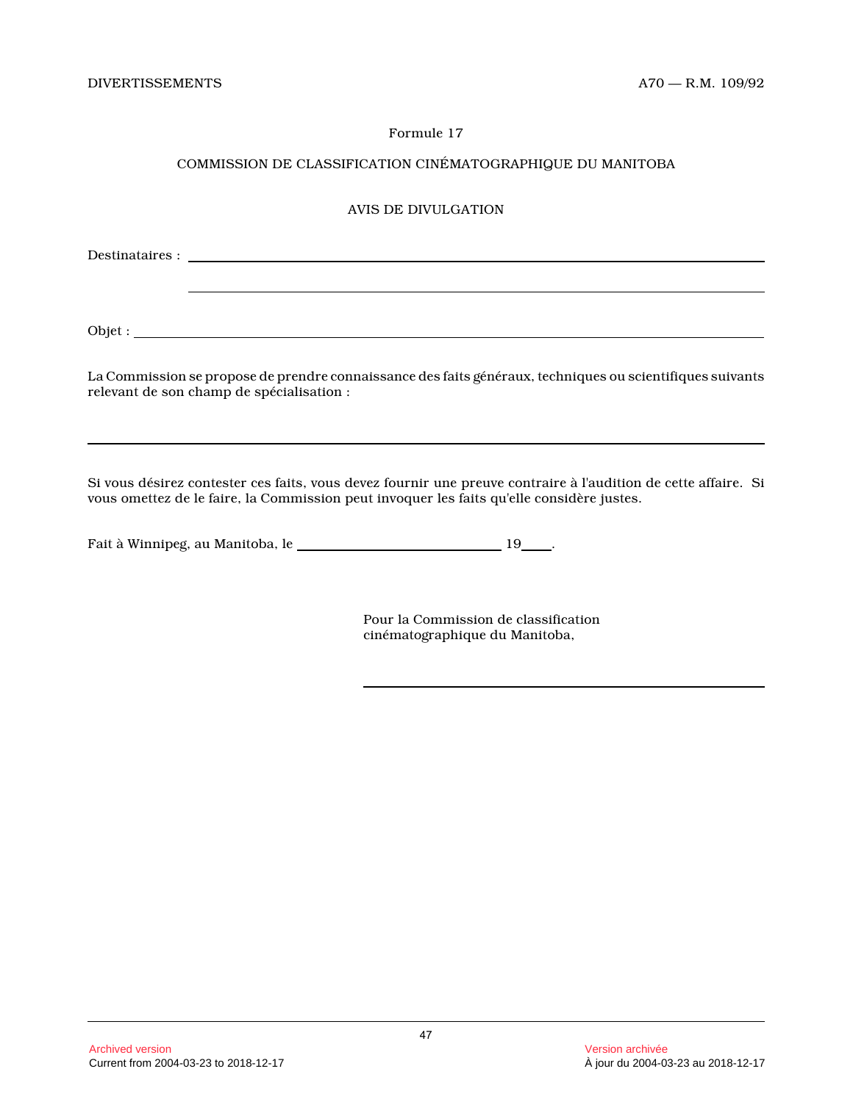# COMMISSION DE CLASSIFICATION CINÉMATOGRAPHIQUE DU MANITOBA

# AVIS DE DIVULGATION

Destinataires :

Objet :

La Commission se propose de prendre connaissance des faits généraux, techniques ou scientifiques suivants relevant de son champ de spécialisation :

Si vous désirez contester ces faits, vous devez fournir une preuve contraire à l'audition de cette affaire. Si vous omettez de le faire, la Commission peut invoquer les faits qu'elle considère justes.

Fait à Winnipeg, au Manitoba, le \_\_\_\_\_\_\_\_\_\_\_\_\_\_\_\_\_\_\_\_\_\_\_\_\_\_\_\_\_\_\_\_\_ 19\_\_\_\_.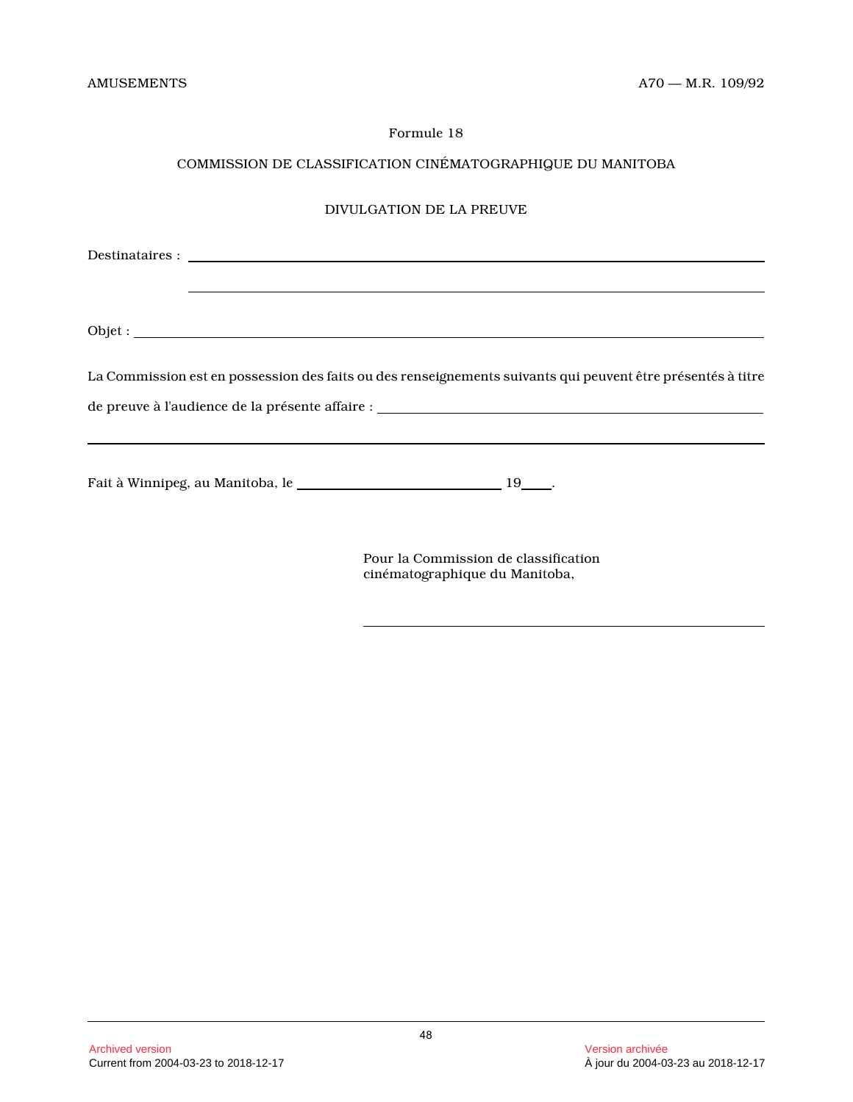# COMMISSION DE CLASSIFICATION CINÉMATOGRAPHIQUE DU MANITOBA

#### DIVULGATION DE LA PREUVE

Destinataires :

Objet :

La Commission est en possession des faits ou des renseignements suivants qui peuvent être présentés à titre

de preuve à l'audience de la présente affaire :

Fait à Winnipeg, au Manitoba, le \_\_\_\_\_\_\_\_\_\_\_\_\_\_\_\_\_\_\_\_\_\_\_\_\_\_\_\_\_\_\_\_\_ 19\_\_\_\_.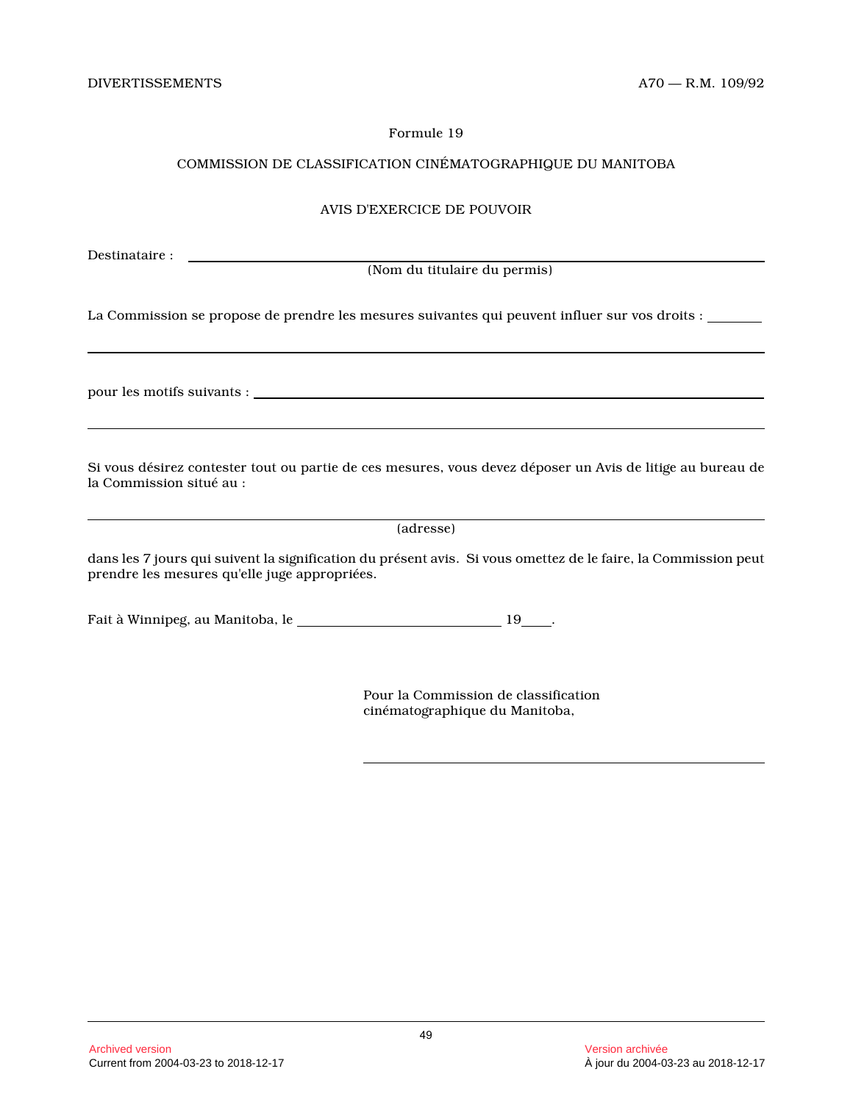# COMMISSION DE CLASSIFICATION CINÉMATOGRAPHIQUE DU MANITOBA

#### AVIS D'EXERCICE DE POUVOIR

Destinataire :

(Nom du titulaire du permis)

La Commission se propose de prendre les mesures suivantes qui peuvent influer sur vos droits :

pour les motifs suivants :

Si vous désirez contester tout ou partie de ces mesures, vous devez déposer un Avis de litige au bureau de la Commission situé au :

(adresse)

dans les 7 jours qui suivent la signification du présent avis. Si vous omettez de le faire, la Commission peut prendre les mesures qu'elle juge appropriées.

Fait à Winnipeg, au Manitoba, le \_\_\_\_\_\_\_\_\_\_\_\_\_\_\_\_\_\_\_\_\_\_\_\_\_\_\_\_\_\_\_\_\_ 19\_\_\_\_.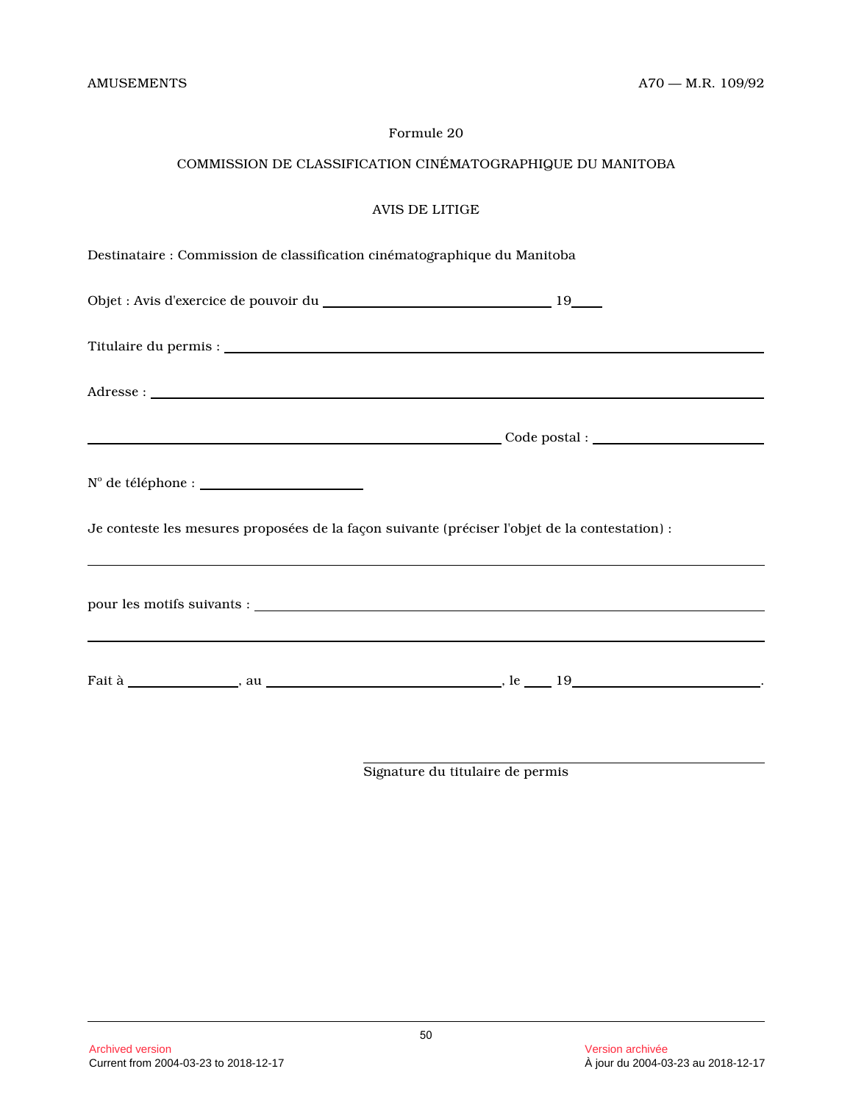# COMMISSION DE CLASSIFICATION CINÉMATOGRAPHIQUE DU MANITOBA

| Destinataire : Commission de classification cinématographique du Manitoba |  |  |  |
|---------------------------------------------------------------------------|--|--|--|
|                                                                           |  |  |  |

| Objet : Avis d'exercice de pouvoir du |  |
|---------------------------------------|--|
|                                       |  |
|                                       |  |

Titulaire du permis :

Adresse :

| Code postal : |  |
|---------------|--|
|               |  |

|  | N° de téléphone : |  |
|--|-------------------|--|
|  |                   |  |

Je conteste les mesures proposées de la façon suivante (préciser l'objet de la contestation) :

| pour les motifs suivants : |  |  |
|----------------------------|--|--|
|                            |  |  |

Fait à , au , le 19 .

Signature du titulaire de permis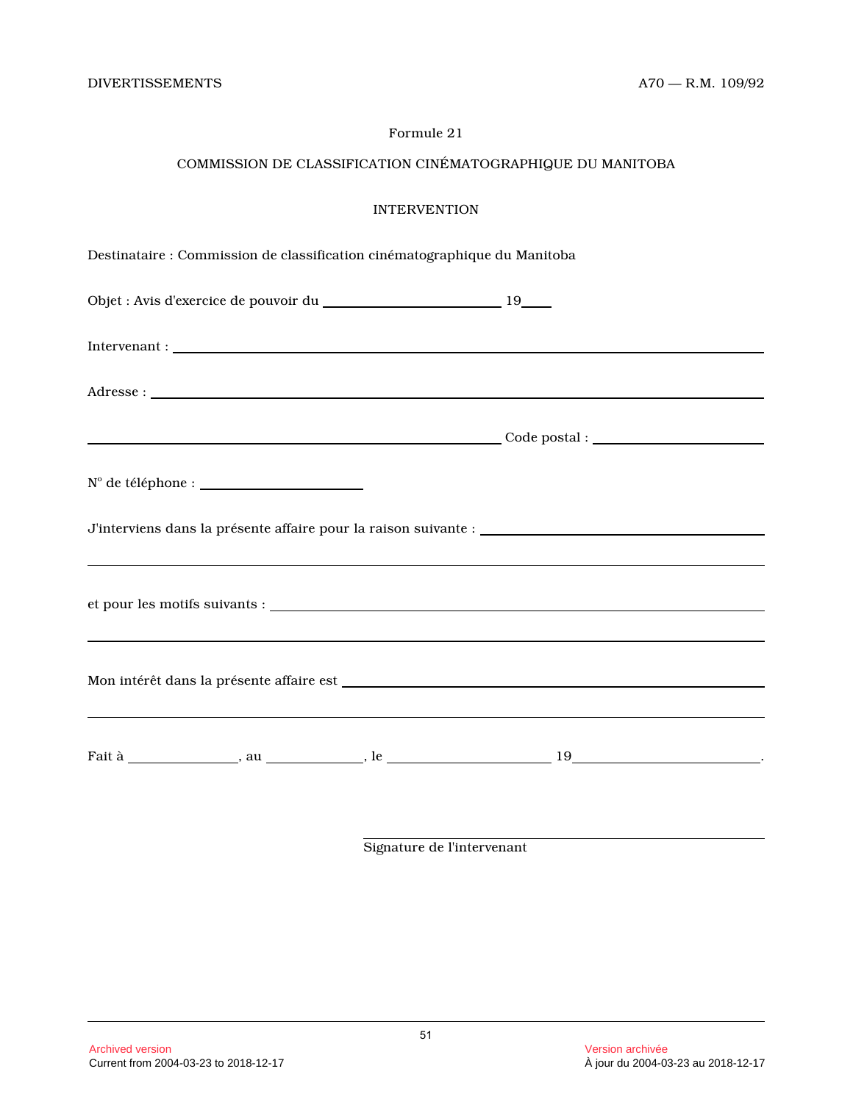# COMMISSION DE CLASSIFICATION CINÉMATOGRAPHIQUE DU MANITOBA

|  | Destinataire : Commission de classification cinématographique du Manitoba                                             |  |
|--|-----------------------------------------------------------------------------------------------------------------------|--|
|  |                                                                                                                       |  |
|  |                                                                                                                       |  |
|  |                                                                                                                       |  |
|  |                                                                                                                       |  |
|  |                                                                                                                       |  |
|  |                                                                                                                       |  |
|  | <u> 1989 - Johann Harry Harry Harry Harry Harry Harry Harry Harry Harry Harry Harry Harry Harry Harry Harry Harry</u> |  |
|  |                                                                                                                       |  |
|  |                                                                                                                       |  |
|  |                                                                                                                       |  |

Signature de l'intervenant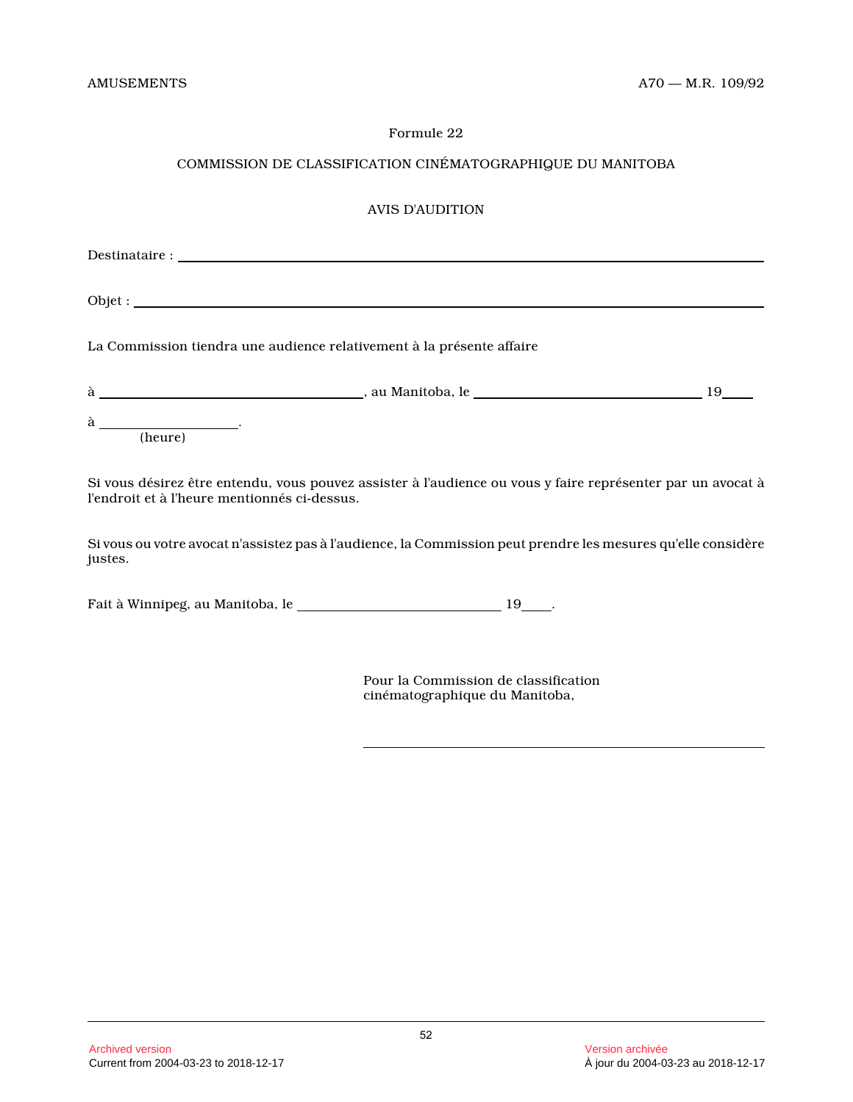# COMMISSION DE CLASSIFICATION CINÉMATOGRAPHIQUE DU MANITOBA

# AVIS D'AUDITION

|         | La Commission tiendra une audience relativement à la présente affaire |    |
|---------|-----------------------------------------------------------------------|----|
|         |                                                                       | 19 |
| (heure) |                                                                       |    |

Si vous désirez être entendu, vous pouvez assister à l'audience ou vous y faire représenter par un avocat à l'endroit et à l'heure mentionnés ci-dessus.

Si vous ou votre avocat n'assistez pas à l'audience, la Commission peut prendre les mesures qu'elle considère justes.

Fait à Winnipeg, au Manitoba, le \_\_\_\_\_\_\_\_\_\_\_\_\_\_\_\_\_\_\_\_\_\_\_\_\_\_\_\_\_\_\_\_\_ 19\_\_\_\_.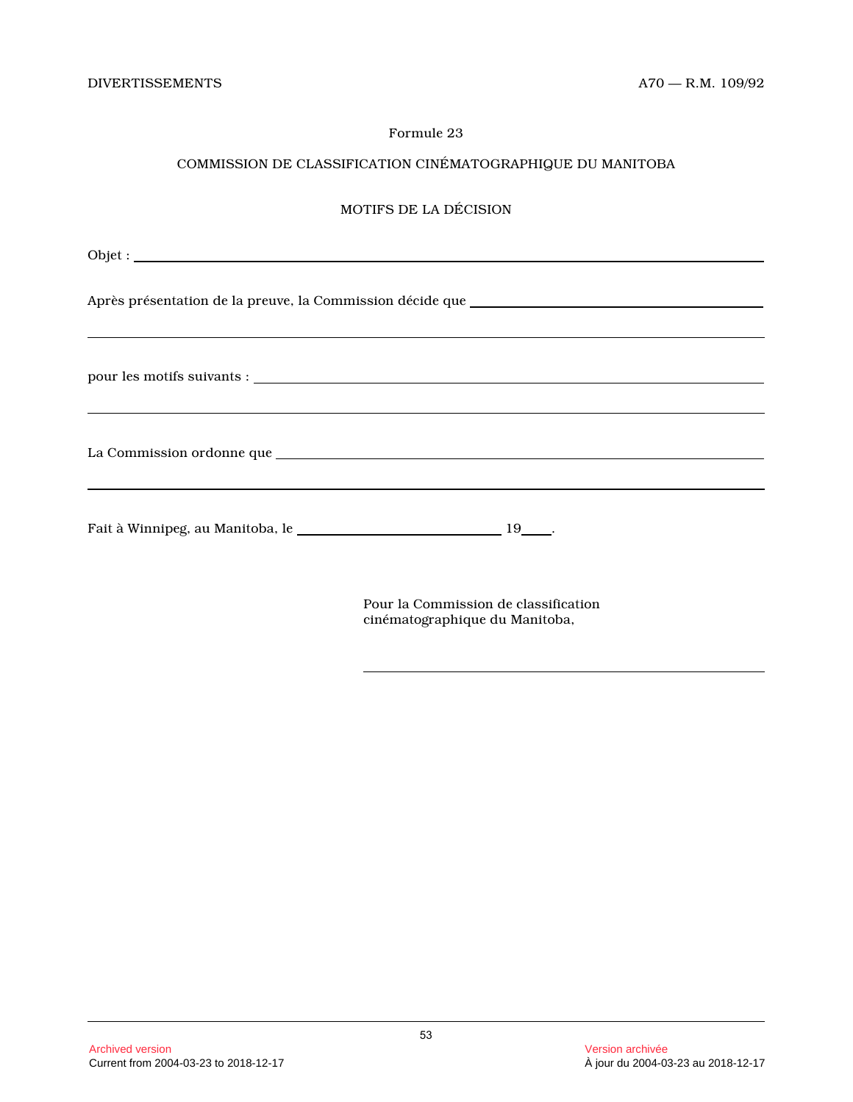# COMMISSION DE CLASSIFICATION CINÉMATOGRAPHIQUE DU MANITOBA

# MOTIFS DE LA DÉCISION

| <u> 1989 - Johann Stoff, amerikansk politiker (d. 1989)</u> |  |
|-------------------------------------------------------------|--|
|                                                             |  |
|                                                             |  |